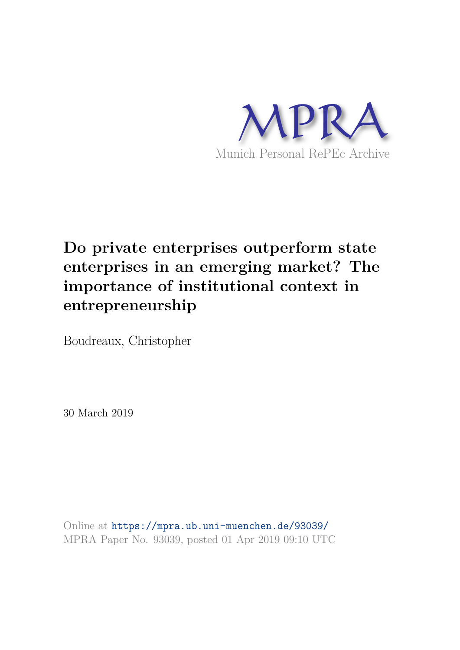

# **Do private enterprises outperform state enterprises in an emerging market? The importance of institutional context in entrepreneurship**

Boudreaux, Christopher

30 March 2019

Online at https://mpra.ub.uni-muenchen.de/93039/ MPRA Paper No. 93039, posted 01 Apr 2019 09:10 UTC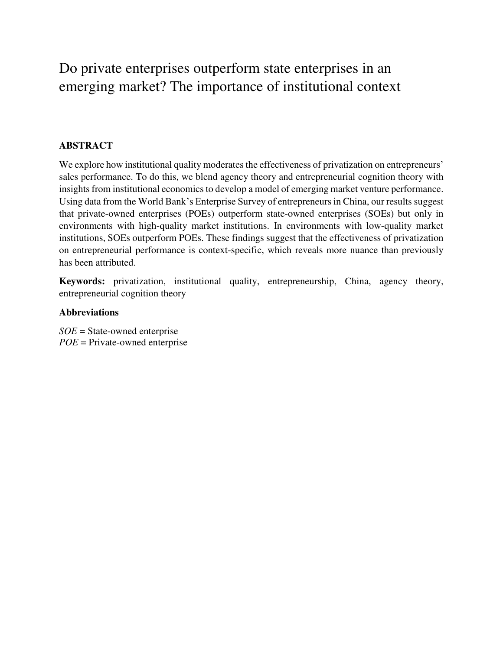## Do private enterprises outperform state enterprises in an emerging market? The importance of institutional context

## **ABSTRACT**

We explore how institutional quality moderates the effectiveness of privatization on entrepreneurs' sales performance. To do this, we blend agency theory and entrepreneurial cognition theory with insights from institutional economics to develop a model of emerging market venture performance. Using data from the World Bank's Enterprise Survey of entrepreneurs in China, our results suggest that private-owned enterprises (POEs) outperform state-owned enterprises (SOEs) but only in environments with high-quality market institutions. In environments with low-quality market institutions, SOEs outperform POEs. These findings suggest that the effectiveness of privatization on entrepreneurial performance is context-specific, which reveals more nuance than previously has been attributed.

**Keywords:** privatization, institutional quality, entrepreneurship, China, agency theory, entrepreneurial cognition theory

### **Abbreviations**

*SOE* = State-owned enterprise *POE* = Private-owned enterprise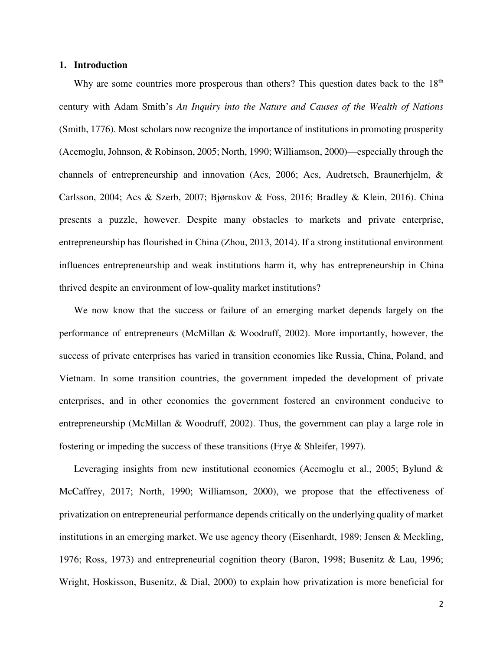#### **1. Introduction**

Why are some countries more prosperous than others? This question dates back to the 18<sup>th</sup> century with Adam Smith's *An Inquiry into the Nature and Causes of the Wealth of Nations* (Smith, 1776). Most scholars now recognize the importance of institutions in promoting prosperity (Acemoglu, Johnson, & Robinson, 2005; North, 1990; Williamson, 2000)—especially through the channels of entrepreneurship and innovation (Acs, 2006; Acs, Audretsch, Braunerhjelm, & Carlsson, 2004; Acs & Szerb, 2007; Bjørnskov & Foss, 2016; Bradley & Klein, 2016). China presents a puzzle, however. Despite many obstacles to markets and private enterprise, entrepreneurship has flourished in China (Zhou, 2013, 2014). If a strong institutional environment influences entrepreneurship and weak institutions harm it, why has entrepreneurship in China thrived despite an environment of low-quality market institutions?

 We now know that the success or failure of an emerging market depends largely on the performance of entrepreneurs (McMillan & Woodruff, 2002). More importantly, however, the success of private enterprises has varied in transition economies like Russia, China, Poland, and Vietnam. In some transition countries, the government impeded the development of private enterprises, and in other economies the government fostered an environment conducive to entrepreneurship (McMillan & Woodruff, 2002). Thus, the government can play a large role in fostering or impeding the success of these transitions (Frye & Shleifer, 1997).

Leveraging insights from new institutional economics (Acemoglu et al., 2005; Bylund & McCaffrey, 2017; North, 1990; Williamson, 2000), we propose that the effectiveness of privatization on entrepreneurial performance depends critically on the underlying quality of market institutions in an emerging market. We use agency theory (Eisenhardt, 1989; Jensen & Meckling, 1976; Ross, 1973) and entrepreneurial cognition theory (Baron, 1998; Busenitz & Lau, 1996; Wright, Hoskisson, Busenitz, & Dial, 2000) to explain how privatization is more beneficial for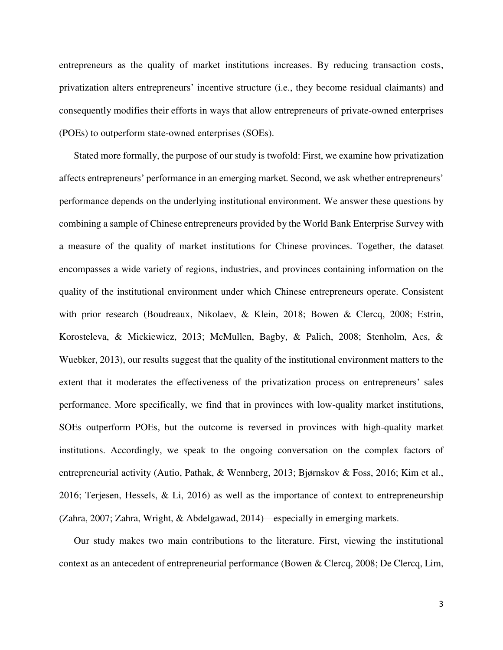entrepreneurs as the quality of market institutions increases. By reducing transaction costs, privatization alters entrepreneurs' incentive structure (i.e., they become residual claimants) and consequently modifies their efforts in ways that allow entrepreneurs of private-owned enterprises (POEs) to outperform state-owned enterprises (SOEs).

 Stated more formally, the purpose of our study is twofold: First, we examine how privatization affects entrepreneurs' performance in an emerging market. Second, we ask whether entrepreneurs' performance depends on the underlying institutional environment. We answer these questions by combining a sample of Chinese entrepreneurs provided by the World Bank Enterprise Survey with a measure of the quality of market institutions for Chinese provinces. Together, the dataset encompasses a wide variety of regions, industries, and provinces containing information on the quality of the institutional environment under which Chinese entrepreneurs operate. Consistent with prior research (Boudreaux, Nikolaev, & Klein, 2018; Bowen & Clercq, 2008; Estrin, Korosteleva, & Mickiewicz, 2013; McMullen, Bagby, & Palich, 2008; Stenholm, Acs, & Wuebker, 2013), our results suggest that the quality of the institutional environment matters to the extent that it moderates the effectiveness of the privatization process on entrepreneurs' sales performance. More specifically, we find that in provinces with low-quality market institutions, SOEs outperform POEs, but the outcome is reversed in provinces with high-quality market institutions. Accordingly, we speak to the ongoing conversation on the complex factors of entrepreneurial activity (Autio, Pathak, & Wennberg, 2013; Bjørnskov & Foss, 2016; Kim et al., 2016; Terjesen, Hessels, & Li, 2016) as well as the importance of context to entrepreneurship (Zahra, 2007; Zahra, Wright, & Abdelgawad, 2014)—especially in emerging markets.

 Our study makes two main contributions to the literature. First, viewing the institutional context as an antecedent of entrepreneurial performance (Bowen & Clercq, 2008; De Clercq, Lim,

3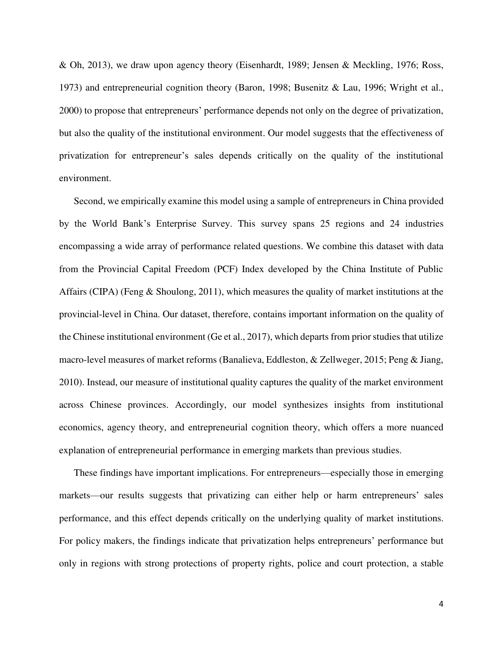& Oh, 2013), we draw upon agency theory (Eisenhardt, 1989; Jensen & Meckling, 1976; Ross, 1973) and entrepreneurial cognition theory (Baron, 1998; Busenitz & Lau, 1996; Wright et al., 2000) to propose that entrepreneurs' performance depends not only on the degree of privatization, but also the quality of the institutional environment. Our model suggests that the effectiveness of privatization for entrepreneur's sales depends critically on the quality of the institutional environment.

 Second, we empirically examine this model using a sample of entrepreneurs in China provided by the World Bank's Enterprise Survey. This survey spans 25 regions and 24 industries encompassing a wide array of performance related questions. We combine this dataset with data from the Provincial Capital Freedom (PCF) Index developed by the China Institute of Public Affairs (CIPA) (Feng & Shoulong, 2011), which measures the quality of market institutions at the provincial-level in China. Our dataset, therefore, contains important information on the quality of the Chinese institutional environment (Ge et al., 2017), which departs from prior studies that utilize macro-level measures of market reforms (Banalieva, Eddleston, & Zellweger, 2015; Peng & Jiang, 2010). Instead, our measure of institutional quality captures the quality of the market environment across Chinese provinces. Accordingly, our model synthesizes insights from institutional economics, agency theory, and entrepreneurial cognition theory, which offers a more nuanced explanation of entrepreneurial performance in emerging markets than previous studies.

 These findings have important implications. For entrepreneurs—especially those in emerging markets—our results suggests that privatizing can either help or harm entrepreneurs' sales performance, and this effect depends critically on the underlying quality of market institutions. For policy makers, the findings indicate that privatization helps entrepreneurs' performance but only in regions with strong protections of property rights, police and court protection, a stable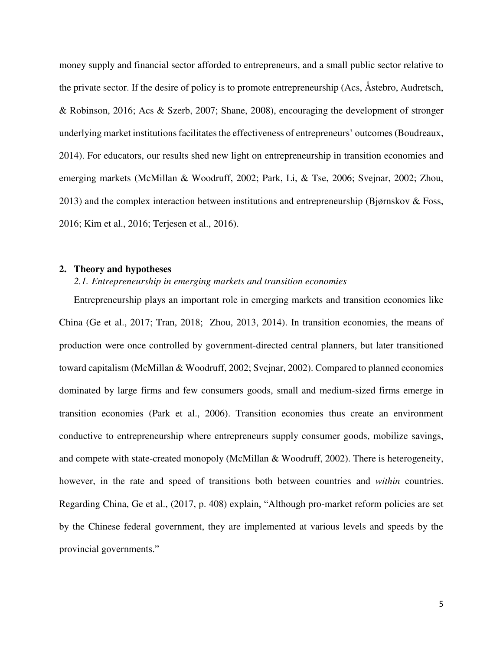money supply and financial sector afforded to entrepreneurs, and a small public sector relative to the private sector. If the desire of policy is to promote entrepreneurship (Acs, Åstebro, Audretsch, & Robinson, 2016; Acs & Szerb, 2007; Shane, 2008), encouraging the development of stronger underlying market institutions facilitates the effectiveness of entrepreneurs' outcomes (Boudreaux, 2014). For educators, our results shed new light on entrepreneurship in transition economies and emerging markets (McMillan & Woodruff, 2002; Park, Li, & Tse, 2006; Svejnar, 2002; Zhou, 2013) and the complex interaction between institutions and entrepreneurship (Bjørnskov & Foss, 2016; Kim et al., 2016; Terjesen et al., 2016).

#### **2. Theory and hypotheses**

#### *2.1. Entrepreneurship in emerging markets and transition economies*

 Entrepreneurship plays an important role in emerging markets and transition economies like China (Ge et al., 2017; Tran, 2018; Zhou, 2013, 2014). In transition economies, the means of production were once controlled by government-directed central planners, but later transitioned toward capitalism (McMillan & Woodruff, 2002; Svejnar, 2002). Compared to planned economies dominated by large firms and few consumers goods, small and medium-sized firms emerge in transition economies (Park et al., 2006). Transition economies thus create an environment conductive to entrepreneurship where entrepreneurs supply consumer goods, mobilize savings, and compete with state-created monopoly (McMillan & Woodruff, 2002). There is heterogeneity, however, in the rate and speed of transitions both between countries and *within* countries. Regarding China, Ge et al., (2017, p. 408) explain, "Although pro-market reform policies are set by the Chinese federal government, they are implemented at various levels and speeds by the provincial governments."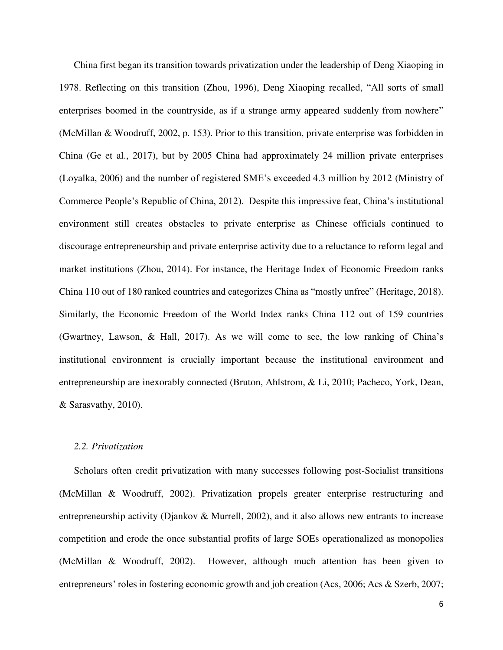China first began its transition towards privatization under the leadership of Deng Xiaoping in 1978. Reflecting on this transition (Zhou, 1996), Deng Xiaoping recalled, "All sorts of small enterprises boomed in the countryside, as if a strange army appeared suddenly from nowhere" (McMillan & Woodruff, 2002, p. 153). Prior to this transition, private enterprise was forbidden in China (Ge et al., 2017), but by 2005 China had approximately 24 million private enterprises (Loyalka, 2006) and the number of registered SME's exceeded 4.3 million by 2012 (Ministry of Commerce People's Republic of China, 2012). Despite this impressive feat, China's institutional environment still creates obstacles to private enterprise as Chinese officials continued to discourage entrepreneurship and private enterprise activity due to a reluctance to reform legal and market institutions (Zhou, 2014). For instance, the Heritage Index of Economic Freedom ranks China 110 out of 180 ranked countries and categorizes China as "mostly unfree" (Heritage, 2018). Similarly, the Economic Freedom of the World Index ranks China 112 out of 159 countries (Gwartney, Lawson, & Hall, 2017). As we will come to see, the low ranking of China's institutional environment is crucially important because the institutional environment and entrepreneurship are inexorably connected (Bruton, Ahlstrom, & Li, 2010; Pacheco, York, Dean, & Sarasvathy, 2010).

#### *2.2. Privatization*

Scholars often credit privatization with many successes following post-Socialist transitions (McMillan & Woodruff, 2002). Privatization propels greater enterprise restructuring and entrepreneurship activity (Djankov & Murrell, 2002), and it also allows new entrants to increase competition and erode the once substantial profits of large SOEs operationalized as monopolies (McMillan & Woodruff, 2002). However, although much attention has been given to entrepreneurs' roles in fostering economic growth and job creation (Acs, 2006; Acs & Szerb, 2007;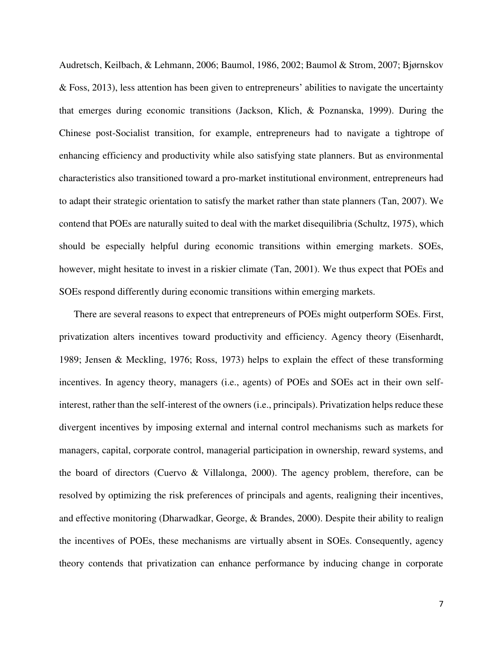Audretsch, Keilbach, & Lehmann, 2006; Baumol, 1986, 2002; Baumol & Strom, 2007; Bjørnskov & Foss, 2013), less attention has been given to entrepreneurs' abilities to navigate the uncertainty that emerges during economic transitions (Jackson, Klich, & Poznanska, 1999). During the Chinese post-Socialist transition, for example, entrepreneurs had to navigate a tightrope of enhancing efficiency and productivity while also satisfying state planners. But as environmental characteristics also transitioned toward a pro-market institutional environment, entrepreneurs had to adapt their strategic orientation to satisfy the market rather than state planners (Tan, 2007). We contend that POEs are naturally suited to deal with the market disequilibria (Schultz, 1975), which should be especially helpful during economic transitions within emerging markets. SOEs, however, might hesitate to invest in a riskier climate (Tan, 2001). We thus expect that POEs and SOEs respond differently during economic transitions within emerging markets.

There are several reasons to expect that entrepreneurs of POEs might outperform SOEs. First, privatization alters incentives toward productivity and efficiency. Agency theory (Eisenhardt, 1989; Jensen & Meckling, 1976; Ross, 1973) helps to explain the effect of these transforming incentives. In agency theory, managers (i.e., agents) of POEs and SOEs act in their own selfinterest, rather than the self-interest of the owners (i.e., principals). Privatization helps reduce these divergent incentives by imposing external and internal control mechanisms such as markets for managers, capital, corporate control, managerial participation in ownership, reward systems, and the board of directors (Cuervo & Villalonga, 2000). The agency problem, therefore, can be resolved by optimizing the risk preferences of principals and agents, realigning their incentives, and effective monitoring (Dharwadkar, George, & Brandes, 2000). Despite their ability to realign the incentives of POEs, these mechanisms are virtually absent in SOEs. Consequently, agency theory contends that privatization can enhance performance by inducing change in corporate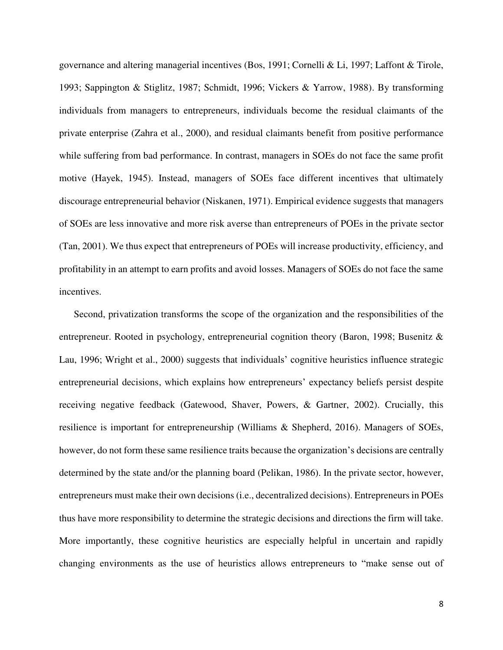governance and altering managerial incentives (Bos, 1991; Cornelli & Li, 1997; Laffont & Tirole, 1993; Sappington & Stiglitz, 1987; Schmidt, 1996; Vickers & Yarrow, 1988). By transforming individuals from managers to entrepreneurs, individuals become the residual claimants of the private enterprise (Zahra et al., 2000), and residual claimants benefit from positive performance while suffering from bad performance. In contrast, managers in SOEs do not face the same profit motive (Hayek, 1945). Instead, managers of SOEs face different incentives that ultimately discourage entrepreneurial behavior (Niskanen, 1971). Empirical evidence suggests that managers of SOEs are less innovative and more risk averse than entrepreneurs of POEs in the private sector (Tan, 2001). We thus expect that entrepreneurs of POEs will increase productivity, efficiency, and profitability in an attempt to earn profits and avoid losses. Managers of SOEs do not face the same incentives.

Second, privatization transforms the scope of the organization and the responsibilities of the entrepreneur. Rooted in psychology, entrepreneurial cognition theory (Baron, 1998; Busenitz & Lau, 1996; Wright et al., 2000) suggests that individuals' cognitive heuristics influence strategic entrepreneurial decisions, which explains how entrepreneurs' expectancy beliefs persist despite receiving negative feedback (Gatewood, Shaver, Powers, & Gartner, 2002). Crucially, this resilience is important for entrepreneurship (Williams & Shepherd, 2016). Managers of SOEs, however, do not form these same resilience traits because the organization's decisions are centrally determined by the state and/or the planning board (Pelikan, 1986). In the private sector, however, entrepreneurs must make their own decisions (i.e., decentralized decisions). Entrepreneurs in POEs thus have more responsibility to determine the strategic decisions and directions the firm will take. More importantly, these cognitive heuristics are especially helpful in uncertain and rapidly changing environments as the use of heuristics allows entrepreneurs to "make sense out of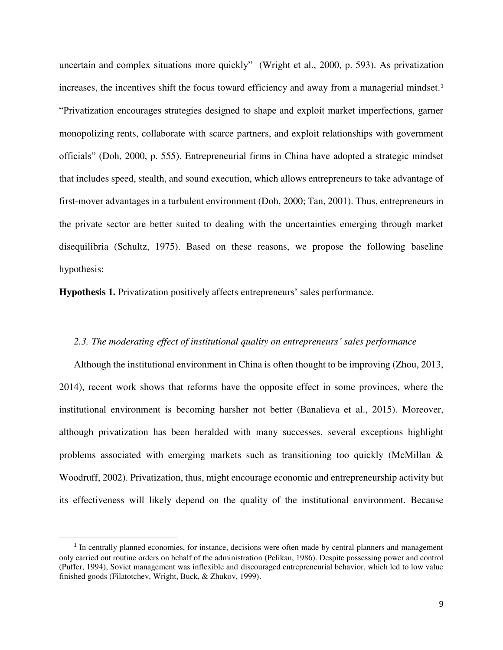uncertain and complex situations more quickly" (Wright et al., 2000, p. 593). As privatization increases, the incentives shift the focus toward efficiency and away from a managerial mindset.<sup>1</sup> "Privatization encourages strategies designed to shape and exploit market imperfections, garner monopolizing rents, collaborate with scarce partners, and exploit relationships with government officials" (Doh, 2000, p. 555). Entrepreneurial firms in China have adopted a strategic mindset that includes speed, stealth, and sound execution, which allows entrepreneurs to take advantage of first-mover advantages in a turbulent environment (Doh, 2000; Tan, 2001). Thus, entrepreneurs in the private sector are better suited to dealing with the uncertainties emerging through market disequilibria (Schultz, 1975). Based on these reasons, we propose the following baseline hypothesis:

**Hypothesis 1.** Privatization positively affects entrepreneurs' sales performance.

#### *2.3. The moderating effect of institutional quality on entrepreneurs' sales performance*

 Although the institutional environment in China is often thought to be improving (Zhou, 2013, 2014), recent work shows that reforms have the opposite effect in some provinces, where the institutional environment is becoming harsher not better (Banalieva et al., 2015). Moreover, although privatization has been heralded with many successes, several exceptions highlight problems associated with emerging markets such as transitioning too quickly (McMillan  $\&$ Woodruff, 2002). Privatization, thus, might encourage economic and entrepreneurship activity but its effectiveness will likely depend on the quality of the institutional environment. Because

 $\overline{a}$ 

<sup>&</sup>lt;sup>1</sup> In centrally planned economies, for instance, decisions were often made by central planners and management only carried out routine orders on behalf of the administration (Pelikan, 1986). Despite possessing power and control (Puffer, 1994), Soviet management was inflexible and discouraged entrepreneurial behavior, which led to low value finished goods (Filatotchev, Wright, Buck, & Zhukov, 1999).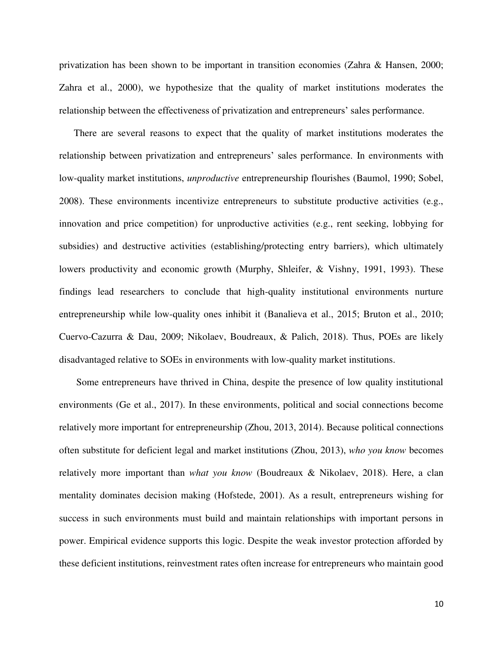privatization has been shown to be important in transition economies (Zahra & Hansen, 2000; Zahra et al., 2000), we hypothesize that the quality of market institutions moderates the relationship between the effectiveness of privatization and entrepreneurs' sales performance.

There are several reasons to expect that the quality of market institutions moderates the relationship between privatization and entrepreneurs' sales performance. In environments with low-quality market institutions, *unproductive* entrepreneurship flourishes (Baumol, 1990; Sobel, 2008). These environments incentivize entrepreneurs to substitute productive activities (e.g., innovation and price competition) for unproductive activities (e.g., rent seeking, lobbying for subsidies) and destructive activities (establishing/protecting entry barriers), which ultimately lowers productivity and economic growth (Murphy, Shleifer, & Vishny, 1991, 1993). These findings lead researchers to conclude that high-quality institutional environments nurture entrepreneurship while low-quality ones inhibit it (Banalieva et al., 2015; Bruton et al., 2010; Cuervo-Cazurra & Dau, 2009; Nikolaev, Boudreaux, & Palich, 2018). Thus, POEs are likely disadvantaged relative to SOEs in environments with low-quality market institutions.

 Some entrepreneurs have thrived in China, despite the presence of low quality institutional environments (Ge et al., 2017). In these environments, political and social connections become relatively more important for entrepreneurship (Zhou, 2013, 2014). Because political connections often substitute for deficient legal and market institutions (Zhou, 2013), *who you know* becomes relatively more important than *what you know* (Boudreaux & Nikolaev, 2018). Here, a clan mentality dominates decision making (Hofstede, 2001). As a result, entrepreneurs wishing for success in such environments must build and maintain relationships with important persons in power. Empirical evidence supports this logic. Despite the weak investor protection afforded by these deficient institutions, reinvestment rates often increase for entrepreneurs who maintain good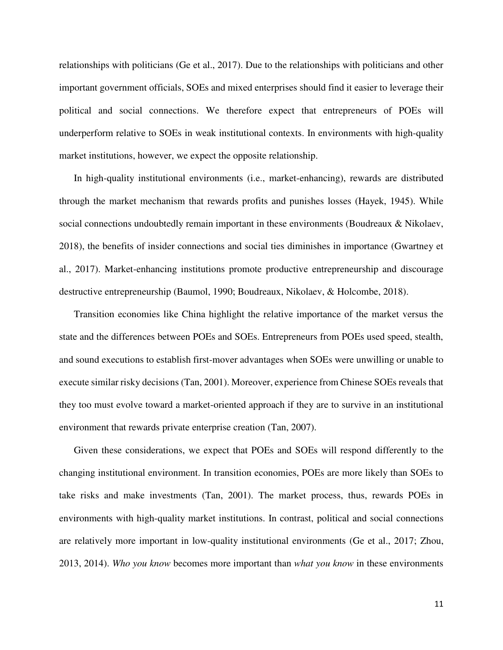relationships with politicians (Ge et al., 2017). Due to the relationships with politicians and other important government officials, SOEs and mixed enterprises should find it easier to leverage their political and social connections. We therefore expect that entrepreneurs of POEs will underperform relative to SOEs in weak institutional contexts. In environments with high-quality market institutions, however, we expect the opposite relationship.

In high-quality institutional environments (i.e., market-enhancing), rewards are distributed through the market mechanism that rewards profits and punishes losses (Hayek, 1945). While social connections undoubtedly remain important in these environments (Boudreaux & Nikolaev, 2018), the benefits of insider connections and social ties diminishes in importance (Gwartney et al., 2017). Market-enhancing institutions promote productive entrepreneurship and discourage destructive entrepreneurship (Baumol, 1990; Boudreaux, Nikolaev, & Holcombe, 2018).

Transition economies like China highlight the relative importance of the market versus the state and the differences between POEs and SOEs. Entrepreneurs from POEs used speed, stealth, and sound executions to establish first-mover advantages when SOEs were unwilling or unable to execute similar risky decisions (Tan, 2001). Moreover, experience from Chinese SOEs reveals that they too must evolve toward a market-oriented approach if they are to survive in an institutional environment that rewards private enterprise creation (Tan, 2007).

Given these considerations, we expect that POEs and SOEs will respond differently to the changing institutional environment. In transition economies, POEs are more likely than SOEs to take risks and make investments (Tan, 2001). The market process, thus, rewards POEs in environments with high-quality market institutions. In contrast, political and social connections are relatively more important in low-quality institutional environments (Ge et al., 2017; Zhou, 2013, 2014). *Who you know* becomes more important than *what you know* in these environments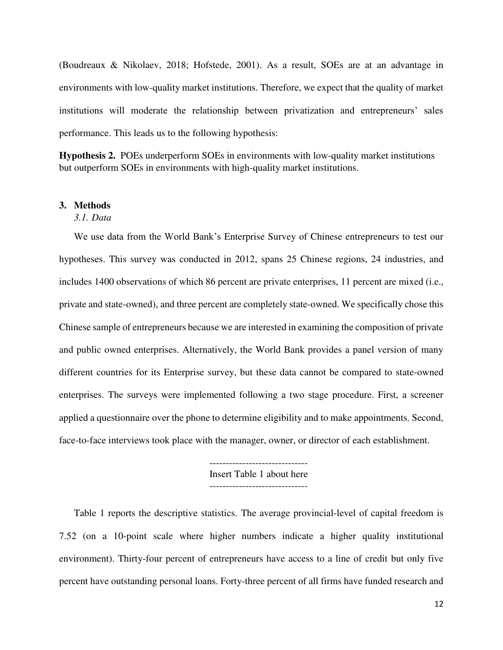(Boudreaux & Nikolaev, 2018; Hofstede, 2001). As a result, SOEs are at an advantage in environments with low-quality market institutions. Therefore, we expect that the quality of market institutions will moderate the relationship between privatization and entrepreneurs' sales performance. This leads us to the following hypothesis:

**Hypothesis 2.** POEs underperform SOEs in environments with low-quality market institutions but outperform SOEs in environments with high-quality market institutions.

#### **3. Methods**

## *3.1. Data*

We use data from the World Bank's Enterprise Survey of Chinese entrepreneurs to test our hypotheses. This survey was conducted in 2012, spans 25 Chinese regions, 24 industries, and includes 1400 observations of which 86 percent are private enterprises, 11 percent are mixed (i.e., private and state-owned), and three percent are completely state-owned. We specifically chose this Chinese sample of entrepreneurs because we are interested in examining the composition of private and public owned enterprises. Alternatively, the World Bank provides a panel version of many different countries for its Enterprise survey, but these data cannot be compared to state-owned enterprises. The surveys were implemented following a two stage procedure. First, a screener applied a questionnaire over the phone to determine eligibility and to make appointments. Second, face-to-face interviews took place with the manager, owner, or director of each establishment.

> ------------------------------ Insert Table 1 about here ------------------------------

 Table 1 reports the descriptive statistics. The average provincial-level of capital freedom is 7.52 (on a 10-point scale where higher numbers indicate a higher quality institutional environment). Thirty-four percent of entrepreneurs have access to a line of credit but only five percent have outstanding personal loans. Forty-three percent of all firms have funded research and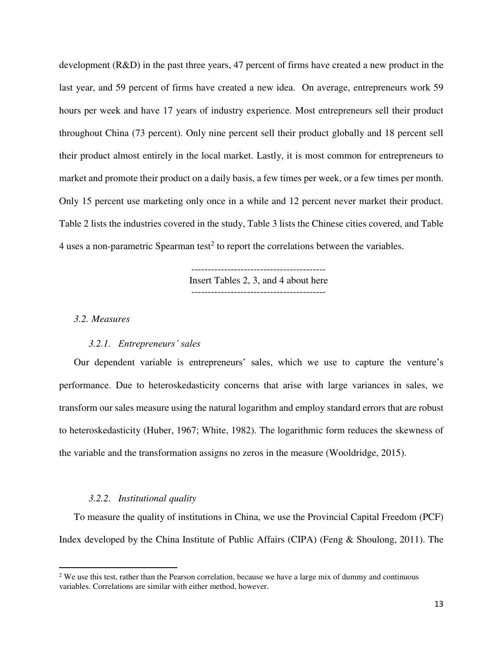development (R&D) in the past three years, 47 percent of firms have created a new product in the last year, and 59 percent of firms have created a new idea. On average, entrepreneurs work 59 hours per week and have 17 years of industry experience. Most entrepreneurs sell their product throughout China (73 percent). Only nine percent sell their product globally and 18 percent sell their product almost entirely in the local market. Lastly, it is most common for entrepreneurs to market and promote their product on a daily basis, a few times per week, or a few times per month. Only 15 percent use marketing only once in a while and 12 percent never market their product. Table 2 lists the industries covered in the study, Table 3 lists the Chinese cities covered, and Table 4 uses a non-parametric Spearman test<sup>2</sup> to report the correlations between the variables.

> ----------------------------------------- Insert Tables 2, 3, and 4 about here -----------------------------------------

#### *3.2. Measures*

 $\overline{a}$ 

#### *3.2.1. Entrepreneurs' sales*

 Our dependent variable is entrepreneurs' sales, which we use to capture the venture's performance. Due to heteroskedasticity concerns that arise with large variances in sales, we transform our sales measure using the natural logarithm and employ standard errors that are robust to heteroskedasticity (Huber, 1967; White, 1982). The logarithmic form reduces the skewness of the variable and the transformation assigns no zeros in the measure (Wooldridge, 2015).

#### *3.2.2. Institutional quality*

 To measure the quality of institutions in China, we use the Provincial Capital Freedom (PCF) Index developed by the China Institute of Public Affairs (CIPA) (Feng & Shoulong, 2011). The

<sup>&</sup>lt;sup>2</sup> We use this test, rather than the Pearson correlation, because we have a large mix of dummy and continuous variables. Correlations are similar with either method, however.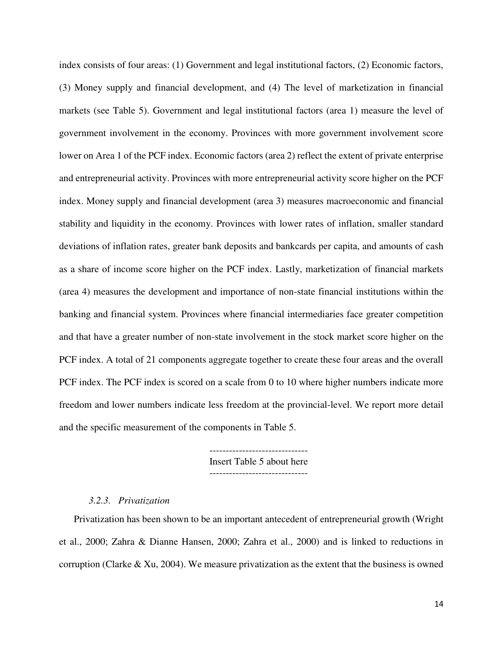index consists of four areas: (1) Government and legal institutional factors, (2) Economic factors, (3) Money supply and financial development, and (4) The level of marketization in financial markets (see Table 5). Government and legal institutional factors (area 1) measure the level of government involvement in the economy. Provinces with more government involvement score lower on Area 1 of the PCF index. Economic factors (area 2) reflect the extent of private enterprise and entrepreneurial activity. Provinces with more entrepreneurial activity score higher on the PCF index. Money supply and financial development (area 3) measures macroeconomic and financial stability and liquidity in the economy. Provinces with lower rates of inflation, smaller standard deviations of inflation rates, greater bank deposits and bankcards per capita, and amounts of cash as a share of income score higher on the PCF index. Lastly, marketization of financial markets (area 4) measures the development and importance of non-state financial institutions within the banking and financial system. Provinces where financial intermediaries face greater competition and that have a greater number of non-state involvement in the stock market score higher on the PCF index. A total of 21 components aggregate together to create these four areas and the overall PCF index. The PCF index is scored on a scale from 0 to 10 where higher numbers indicate more freedom and lower numbers indicate less freedom at the provincial-level. We report more detail and the specific measurement of the components in Table 5.

Insert Table 5 about here

#### *3.2.3. Privatization*

 Privatization has been shown to be an important antecedent of entrepreneurial growth (Wright et al., 2000; Zahra & Dianne Hansen, 2000; Zahra et al., 2000) and is linked to reductions in corruption (Clarke & Xu, 2004). We measure privatization as the extent that the business is owned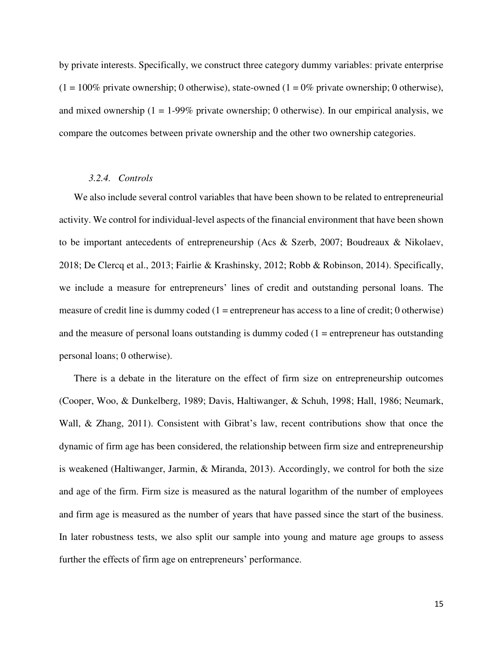by private interests. Specifically, we construct three category dummy variables: private enterprise  $(1 = 100\%$  private ownership; 0 otherwise), state-owned  $(1 = 0\%$  private ownership; 0 otherwise), and mixed ownership  $(1 = 1-99\%$  private ownership; 0 otherwise). In our empirical analysis, we compare the outcomes between private ownership and the other two ownership categories.

#### *3.2.4. Controls*

 We also include several control variables that have been shown to be related to entrepreneurial activity. We control for individual-level aspects of the financial environment that have been shown to be important antecedents of entrepreneurship (Acs & Szerb, 2007; Boudreaux & Nikolaev, 2018; De Clercq et al., 2013; Fairlie & Krashinsky, 2012; Robb & Robinson, 2014). Specifically, we include a measure for entrepreneurs' lines of credit and outstanding personal loans. The measure of credit line is dummy coded  $(1 =$  entrepreneur has access to a line of credit; 0 otherwise) and the measure of personal loans outstanding is dummy coded  $(1 =$  entrepreneur has outstanding personal loans; 0 otherwise).

There is a debate in the literature on the effect of firm size on entrepreneurship outcomes (Cooper, Woo, & Dunkelberg, 1989; Davis, Haltiwanger, & Schuh, 1998; Hall, 1986; Neumark, Wall, & Zhang, 2011). Consistent with Gibrat's law, recent contributions show that once the dynamic of firm age has been considered, the relationship between firm size and entrepreneurship is weakened (Haltiwanger, Jarmin, & Miranda, 2013). Accordingly, we control for both the size and age of the firm. Firm size is measured as the natural logarithm of the number of employees and firm age is measured as the number of years that have passed since the start of the business. In later robustness tests, we also split our sample into young and mature age groups to assess further the effects of firm age on entrepreneurs' performance.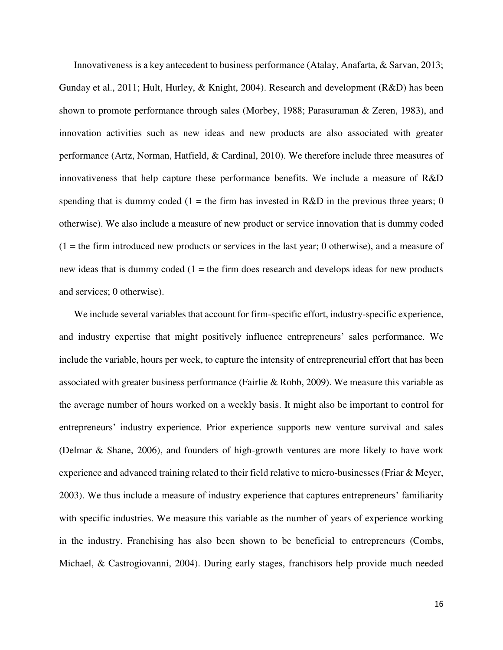Innovativeness is a key antecedent to business performance (Atalay, Anafarta, & Sarvan, 2013; Gunday et al., 2011; Hult, Hurley, & Knight, 2004). Research and development (R&D) has been shown to promote performance through sales (Morbey, 1988; Parasuraman & Zeren, 1983), and innovation activities such as new ideas and new products are also associated with greater performance (Artz, Norman, Hatfield, & Cardinal, 2010). We therefore include three measures of innovativeness that help capture these performance benefits. We include a measure of R&D spending that is dummy coded (1 = the firm has invested in R&D in the previous three years; 0 otherwise). We also include a measure of new product or service innovation that is dummy coded  $(1 =$  the firm introduced new products or services in the last year; 0 otherwise), and a measure of new ideas that is dummy coded  $(1 =$  the firm does research and develops ideas for new products and services; 0 otherwise).

We include several variables that account for firm-specific effort, industry-specific experience, and industry expertise that might positively influence entrepreneurs' sales performance. We include the variable, hours per week, to capture the intensity of entrepreneurial effort that has been associated with greater business performance (Fairlie & Robb, 2009). We measure this variable as the average number of hours worked on a weekly basis. It might also be important to control for entrepreneurs' industry experience. Prior experience supports new venture survival and sales (Delmar & Shane, 2006), and founders of high-growth ventures are more likely to have work experience and advanced training related to their field relative to micro-businesses (Friar & Meyer, 2003). We thus include a measure of industry experience that captures entrepreneurs' familiarity with specific industries. We measure this variable as the number of years of experience working in the industry. Franchising has also been shown to be beneficial to entrepreneurs (Combs, Michael, & Castrogiovanni, 2004). During early stages, franchisors help provide much needed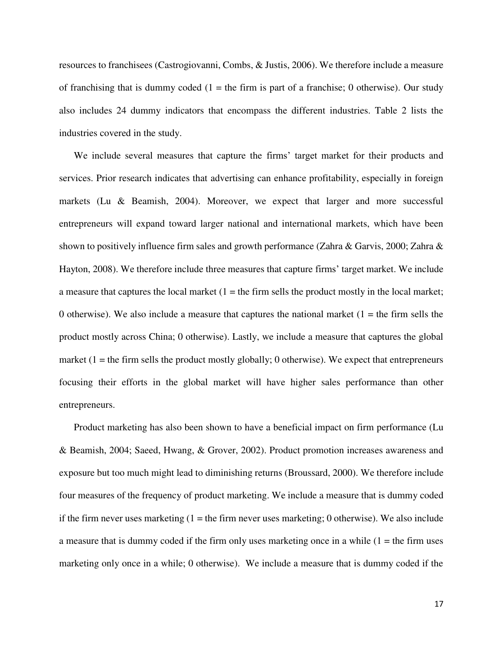resources to franchisees (Castrogiovanni, Combs, & Justis, 2006). We therefore include a measure of franchising that is dummy coded  $(1 =$  the firm is part of a franchise; 0 otherwise). Our study also includes 24 dummy indicators that encompass the different industries. Table 2 lists the industries covered in the study.

We include several measures that capture the firms' target market for their products and services. Prior research indicates that advertising can enhance profitability, especially in foreign markets (Lu & Beamish, 2004). Moreover, we expect that larger and more successful entrepreneurs will expand toward larger national and international markets, which have been shown to positively influence firm sales and growth performance (Zahra & Garvis, 2000; Zahra & Hayton, 2008). We therefore include three measures that capture firms' target market. We include a measure that captures the local market  $(1 =$  the firm sells the product mostly in the local market; 0 otherwise). We also include a measure that captures the national market  $(1 =$  the firm sells the product mostly across China; 0 otherwise). Lastly, we include a measure that captures the global market  $(1 =$  the firm sells the product mostly globally; 0 otherwise). We expect that entrepreneurs focusing their efforts in the global market will have higher sales performance than other entrepreneurs.

Product marketing has also been shown to have a beneficial impact on firm performance (Lu & Beamish, 2004; Saeed, Hwang, & Grover, 2002). Product promotion increases awareness and exposure but too much might lead to diminishing returns (Broussard, 2000). We therefore include four measures of the frequency of product marketing. We include a measure that is dummy coded if the firm never uses marketing  $(1 =$  the firm never uses marketing; 0 otherwise). We also include a measure that is dummy coded if the firm only uses marketing once in a while  $(1 =$  the firm uses marketing only once in a while; 0 otherwise). We include a measure that is dummy coded if the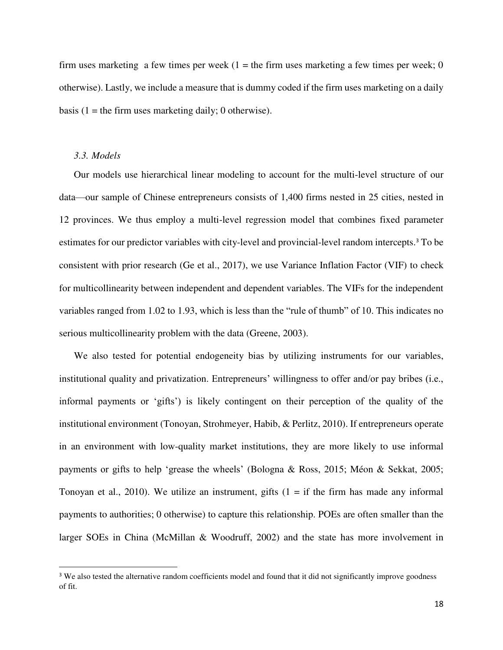firm uses marketing a few times per week  $(1 =$  the firm uses marketing a few times per week; 0 otherwise). Lastly, we include a measure that is dummy coded if the firm uses marketing on a daily basis (1 = the firm uses marketing daily; 0 otherwise).

#### *3.3. Models*

 $\overline{a}$ 

Our models use hierarchical linear modeling to account for the multi-level structure of our data—our sample of Chinese entrepreneurs consists of 1,400 firms nested in 25 cities, nested in 12 provinces. We thus employ a multi-level regression model that combines fixed parameter estimates for our predictor variables with city-level and provincial-level random intercepts.<sup>3</sup> To be consistent with prior research (Ge et al., 2017), we use Variance Inflation Factor (VIF) to check for multicollinearity between independent and dependent variables. The VIFs for the independent variables ranged from 1.02 to 1.93, which is less than the "rule of thumb" of 10. This indicates no serious multicollinearity problem with the data (Greene, 2003).

We also tested for potential endogeneity bias by utilizing instruments for our variables, institutional quality and privatization. Entrepreneurs' willingness to offer and/or pay bribes (i.e., informal payments or 'gifts') is likely contingent on their perception of the quality of the institutional environment (Tonoyan, Strohmeyer, Habib, & Perlitz, 2010). If entrepreneurs operate in an environment with low-quality market institutions, they are more likely to use informal payments or gifts to help 'grease the wheels' (Bologna & Ross, 2015; Méon & Sekkat, 2005; Tonoyan et al., 2010). We utilize an instrument, gifts  $(1 = if the firm has made any informal)$ payments to authorities; 0 otherwise) to capture this relationship. POEs are often smaller than the larger SOEs in China (McMillan & Woodruff, 2002) and the state has more involvement in

<sup>&</sup>lt;sup>3</sup> We also tested the alternative random coefficients model and found that it did not significantly improve goodness of fit.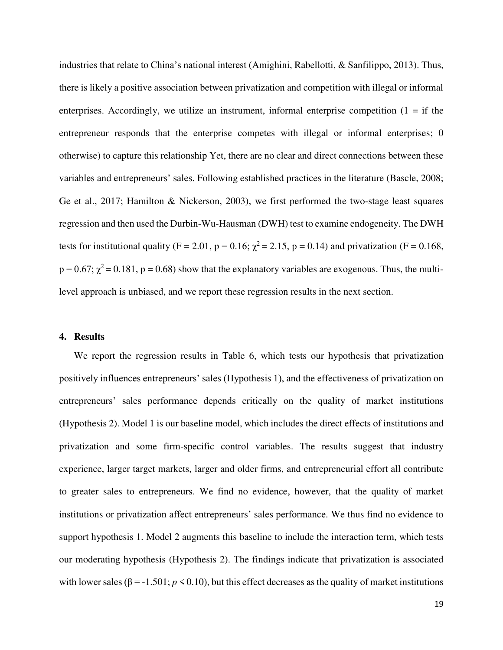industries that relate to China's national interest (Amighini, Rabellotti, & Sanfilippo, 2013). Thus, there is likely a positive association between privatization and competition with illegal or informal enterprises. Accordingly, we utilize an instrument, informal enterprise competition  $(1 = if the)$ entrepreneur responds that the enterprise competes with illegal or informal enterprises; 0 otherwise) to capture this relationship Yet, there are no clear and direct connections between these variables and entrepreneurs' sales. Following established practices in the literature (Bascle, 2008; Ge et al., 2017; Hamilton & Nickerson, 2003), we first performed the two-stage least squares regression and then used the Durbin-Wu-Hausman (DWH) test to examine endogeneity. The DWH tests for institutional quality (F = 2.01, p = 0.16;  $\chi^2$  = 2.15, p = 0.14) and privatization (F = 0.168,  $p = 0.67$ ;  $\chi^2 = 0.181$ ,  $p = 0.68$ ) show that the explanatory variables are exogenous. Thus, the multilevel approach is unbiased, and we report these regression results in the next section.

#### **4. Results**

We report the regression results in Table 6, which tests our hypothesis that privatization positively influences entrepreneurs' sales (Hypothesis 1), and the effectiveness of privatization on entrepreneurs' sales performance depends critically on the quality of market institutions (Hypothesis 2). Model 1 is our baseline model, which includes the direct effects of institutions and privatization and some firm-specific control variables. The results suggest that industry experience, larger target markets, larger and older firms, and entrepreneurial effort all contribute to greater sales to entrepreneurs. We find no evidence, however, that the quality of market institutions or privatization affect entrepreneurs' sales performance. We thus find no evidence to support hypothesis 1. Model 2 augments this baseline to include the interaction term, which tests our moderating hypothesis (Hypothesis 2). The findings indicate that privatization is associated with lower sales ( $\beta$  = -1.501; *p* < 0.10), but this effect decreases as the quality of market institutions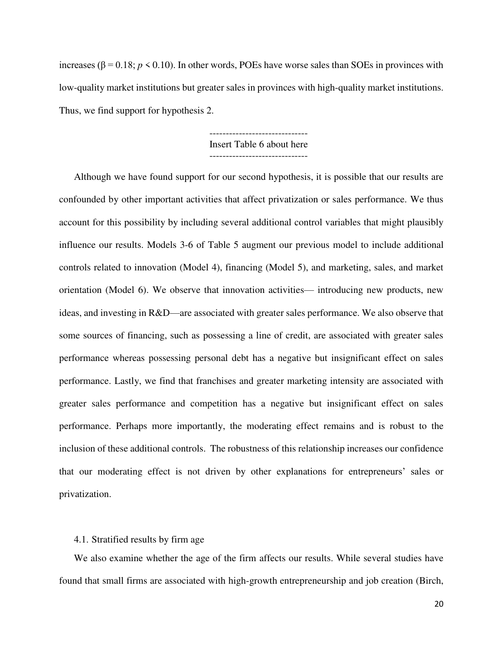increases (β = 0.18;  $p$  < 0.10). In other words, POEs have worse sales than SOEs in provinces with low-quality market institutions but greater sales in provinces with high-quality market institutions. Thus, we find support for hypothesis 2.

> ------------------------------ Insert Table 6 about here

------------------------------

Although we have found support for our second hypothesis, it is possible that our results are confounded by other important activities that affect privatization or sales performance. We thus account for this possibility by including several additional control variables that might plausibly influence our results. Models 3-6 of Table 5 augment our previous model to include additional controls related to innovation (Model 4), financing (Model 5), and marketing, sales, and market orientation (Model 6). We observe that innovation activities— introducing new products, new ideas, and investing in R&D—are associated with greater sales performance. We also observe that some sources of financing, such as possessing a line of credit, are associated with greater sales performance whereas possessing personal debt has a negative but insignificant effect on sales performance. Lastly, we find that franchises and greater marketing intensity are associated with greater sales performance and competition has a negative but insignificant effect on sales performance. Perhaps more importantly, the moderating effect remains and is robust to the inclusion of these additional controls. The robustness of this relationship increases our confidence that our moderating effect is not driven by other explanations for entrepreneurs' sales or privatization.

#### 4.1. Stratified results by firm age

 We also examine whether the age of the firm affects our results. While several studies have found that small firms are associated with high-growth entrepreneurship and job creation (Birch,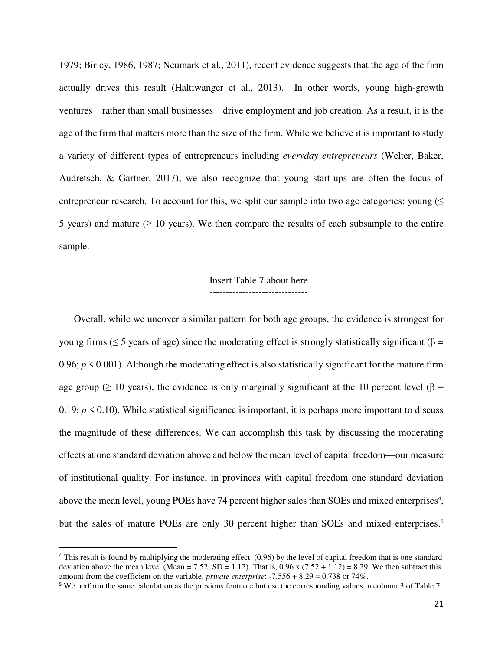1979; Birley, 1986, 1987; Neumark et al., 2011), recent evidence suggests that the age of the firm actually drives this result (Haltiwanger et al., 2013). In other words, young high-growth ventures—rather than small businesses—drive employment and job creation. As a result, it is the age of the firm that matters more than the size of the firm. While we believe it is important to study a variety of different types of entrepreneurs including *everyday entrepreneurs* (Welter, Baker, Audretsch, & Gartner, 2017), we also recognize that young start-ups are often the focus of entrepreneur research. To account for this, we split our sample into two age categories: young  $($ 5 years) and mature ( $\geq 10$  years). We then compare the results of each subsample to the entire sample.

> ------------------------------ Insert Table 7 about here ------------------------------

 Overall, while we uncover a similar pattern for both age groups, the evidence is strongest for young firms ( $\leq$  5 years of age) since the moderating effect is strongly statistically significant (β = 0.96;  $p \le 0.001$ ). Although the moderating effect is also statistically significant for the mature firm age group ( $\geq 10$  years), the evidence is only marginally significant at the 10 percent level ( $\beta$  = 0.19;  $p \le 0.10$ ). While statistical significance is important, it is perhaps more important to discuss the magnitude of these differences. We can accomplish this task by discussing the moderating effects at one standard deviation above and below the mean level of capital freedom—our measure of institutional quality. For instance, in provinces with capital freedom one standard deviation above the mean level, young POEs have 74 percent higher sales than SOEs and mixed enterprises<sup>4</sup>, but the sales of mature POEs are only 30 percent higher than SOEs and mixed enterprises.<sup>5</sup>

 $\overline{a}$ 

<sup>&</sup>lt;sup>4</sup> This result is found by multiplying the moderating effect (0.96) by the level of capital freedom that is one standard deviation above the mean level (Mean = 7.52; SD = 1.12). That is,  $0.96 \times (7.52 + 1.12) = 8.29$ . We then subtract this amount from the coefficient on the variable, *private enterprise*: -7.556 + 8.29 = 0.738 or 74%.

<sup>5</sup> We perform the same calculation as the previous footnote but use the corresponding values in column 3 of Table 7.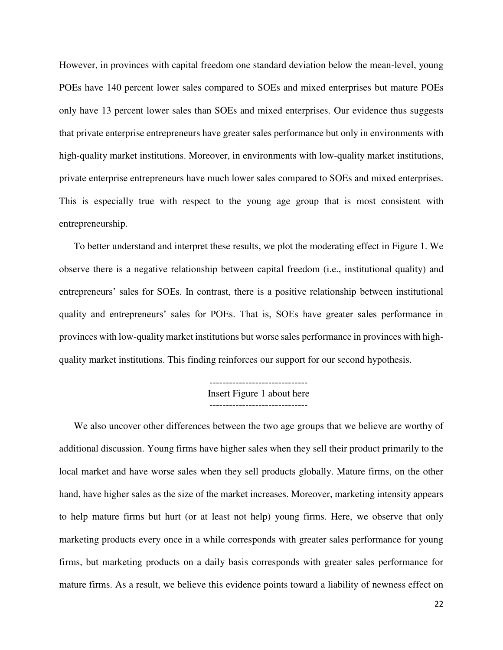However, in provinces with capital freedom one standard deviation below the mean-level, young POEs have 140 percent lower sales compared to SOEs and mixed enterprises but mature POEs only have 13 percent lower sales than SOEs and mixed enterprises. Our evidence thus suggests that private enterprise entrepreneurs have greater sales performance but only in environments with high-quality market institutions. Moreover, in environments with low-quality market institutions, private enterprise entrepreneurs have much lower sales compared to SOEs and mixed enterprises. This is especially true with respect to the young age group that is most consistent with entrepreneurship.

To better understand and interpret these results, we plot the moderating effect in Figure 1. We observe there is a negative relationship between capital freedom (i.e., institutional quality) and entrepreneurs' sales for SOEs. In contrast, there is a positive relationship between institutional quality and entrepreneurs' sales for POEs. That is, SOEs have greater sales performance in provinces with low-quality market institutions but worse sales performance in provinces with highquality market institutions. This finding reinforces our support for our second hypothesis.

> ------------------------------ Insert Figure 1 about here

We also uncover other differences between the two age groups that we believe are worthy of additional discussion. Young firms have higher sales when they sell their product primarily to the local market and have worse sales when they sell products globally. Mature firms, on the other hand, have higher sales as the size of the market increases. Moreover, marketing intensity appears to help mature firms but hurt (or at least not help) young firms. Here, we observe that only marketing products every once in a while corresponds with greater sales performance for young firms, but marketing products on a daily basis corresponds with greater sales performance for mature firms. As a result, we believe this evidence points toward a liability of newness effect on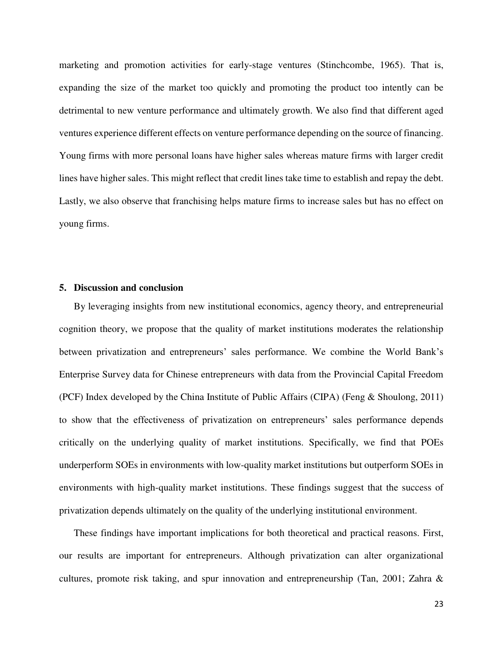marketing and promotion activities for early-stage ventures (Stinchcombe, 1965). That is, expanding the size of the market too quickly and promoting the product too intently can be detrimental to new venture performance and ultimately growth. We also find that different aged ventures experience different effects on venture performance depending on the source of financing. Young firms with more personal loans have higher sales whereas mature firms with larger credit lines have higher sales. This might reflect that credit lines take time to establish and repay the debt. Lastly, we also observe that franchising helps mature firms to increase sales but has no effect on young firms.

#### **5. Discussion and conclusion**

By leveraging insights from new institutional economics, agency theory, and entrepreneurial cognition theory, we propose that the quality of market institutions moderates the relationship between privatization and entrepreneurs' sales performance. We combine the World Bank's Enterprise Survey data for Chinese entrepreneurs with data from the Provincial Capital Freedom (PCF) Index developed by the China Institute of Public Affairs (CIPA) (Feng & Shoulong, 2011) to show that the effectiveness of privatization on entrepreneurs' sales performance depends critically on the underlying quality of market institutions. Specifically, we find that POEs underperform SOEs in environments with low-quality market institutions but outperform SOEs in environments with high-quality market institutions. These findings suggest that the success of privatization depends ultimately on the quality of the underlying institutional environment.

These findings have important implications for both theoretical and practical reasons. First, our results are important for entrepreneurs. Although privatization can alter organizational cultures, promote risk taking, and spur innovation and entrepreneurship (Tan, 2001; Zahra &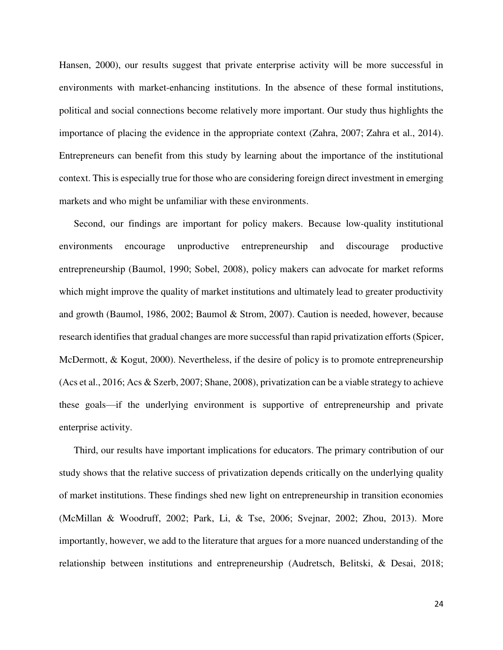Hansen, 2000), our results suggest that private enterprise activity will be more successful in environments with market-enhancing institutions. In the absence of these formal institutions, political and social connections become relatively more important. Our study thus highlights the importance of placing the evidence in the appropriate context (Zahra, 2007; Zahra et al., 2014). Entrepreneurs can benefit from this study by learning about the importance of the institutional context. This is especially true for those who are considering foreign direct investment in emerging markets and who might be unfamiliar with these environments.

Second, our findings are important for policy makers. Because low-quality institutional environments encourage unproductive entrepreneurship and discourage productive entrepreneurship (Baumol, 1990; Sobel, 2008), policy makers can advocate for market reforms which might improve the quality of market institutions and ultimately lead to greater productivity and growth (Baumol, 1986, 2002; Baumol & Strom, 2007). Caution is needed, however, because research identifies that gradual changes are more successful than rapid privatization efforts (Spicer, McDermott, & Kogut, 2000). Nevertheless, if the desire of policy is to promote entrepreneurship (Acs et al., 2016; Acs & Szerb, 2007; Shane, 2008), privatization can be a viable strategy to achieve these goals—if the underlying environment is supportive of entrepreneurship and private enterprise activity.

Third, our results have important implications for educators. The primary contribution of our study shows that the relative success of privatization depends critically on the underlying quality of market institutions. These findings shed new light on entrepreneurship in transition economies (McMillan & Woodruff, 2002; Park, Li, & Tse, 2006; Svejnar, 2002; Zhou, 2013). More importantly, however, we add to the literature that argues for a more nuanced understanding of the relationship between institutions and entrepreneurship (Audretsch, Belitski, & Desai, 2018;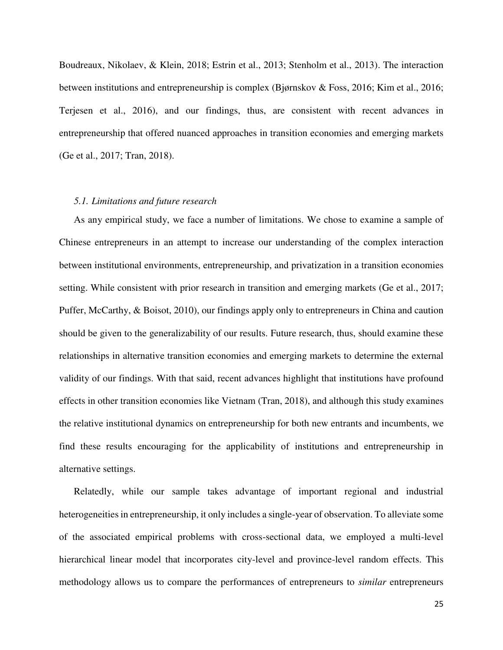Boudreaux, Nikolaev, & Klein, 2018; Estrin et al., 2013; Stenholm et al., 2013). The interaction between institutions and entrepreneurship is complex (Bjørnskov & Foss, 2016; Kim et al., 2016; Terjesen et al., 2016), and our findings, thus, are consistent with recent advances in entrepreneurship that offered nuanced approaches in transition economies and emerging markets (Ge et al., 2017; Tran, 2018).

#### *5.1. Limitations and future research*

As any empirical study, we face a number of limitations. We chose to examine a sample of Chinese entrepreneurs in an attempt to increase our understanding of the complex interaction between institutional environments, entrepreneurship, and privatization in a transition economies setting. While consistent with prior research in transition and emerging markets (Ge et al., 2017; Puffer, McCarthy, & Boisot, 2010), our findings apply only to entrepreneurs in China and caution should be given to the generalizability of our results. Future research, thus, should examine these relationships in alternative transition economies and emerging markets to determine the external validity of our findings. With that said, recent advances highlight that institutions have profound effects in other transition economies like Vietnam (Tran, 2018), and although this study examines the relative institutional dynamics on entrepreneurship for both new entrants and incumbents, we find these results encouraging for the applicability of institutions and entrepreneurship in alternative settings.

 Relatedly, while our sample takes advantage of important regional and industrial heterogeneities in entrepreneurship, it only includes a single-year of observation. To alleviate some of the associated empirical problems with cross-sectional data, we employed a multi-level hierarchical linear model that incorporates city-level and province-level random effects. This methodology allows us to compare the performances of entrepreneurs to *similar* entrepreneurs

25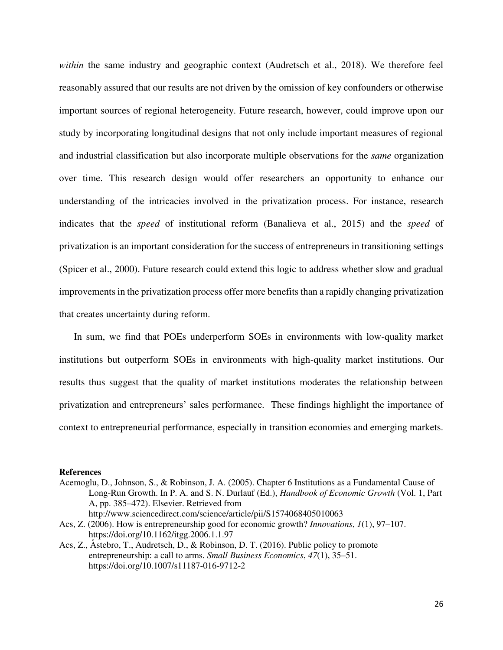*within* the same industry and geographic context (Audretsch et al., 2018). We therefore feel reasonably assured that our results are not driven by the omission of key confounders or otherwise important sources of regional heterogeneity. Future research, however, could improve upon our study by incorporating longitudinal designs that not only include important measures of regional and industrial classification but also incorporate multiple observations for the *same* organization over time. This research design would offer researchers an opportunity to enhance our understanding of the intricacies involved in the privatization process. For instance, research indicates that the *speed* of institutional reform (Banalieva et al., 2015) and the *speed* of privatization is an important consideration for the success of entrepreneurs in transitioning settings (Spicer et al., 2000). Future research could extend this logic to address whether slow and gradual improvements in the privatization process offer more benefits than a rapidly changing privatization that creates uncertainty during reform.

 In sum, we find that POEs underperform SOEs in environments with low-quality market institutions but outperform SOEs in environments with high-quality market institutions. Our results thus suggest that the quality of market institutions moderates the relationship between privatization and entrepreneurs' sales performance. These findings highlight the importance of context to entrepreneurial performance, especially in transition economies and emerging markets.

#### **References**

- Acemoglu, D., Johnson, S., & Robinson, J. A. (2005). Chapter 6 Institutions as a Fundamental Cause of Long-Run Growth. In P. A. and S. N. Durlauf (Ed.), *Handbook of Economic Growth* (Vol. 1, Part A, pp. 385–472). Elsevier. Retrieved from http://www.sciencedirect.com/science/article/pii/S1574068405010063
- Acs, Z. (2006). How is entrepreneurship good for economic growth? *Innovations*, *1*(1), 97–107. https://doi.org/10.1162/itgg.2006.1.1.97
- Acs, Z., Åstebro, T., Audretsch, D., & Robinson, D. T. (2016). Public policy to promote entrepreneurship: a call to arms. *Small Business Economics*, *47*(1), 35–51. https://doi.org/10.1007/s11187-016-9712-2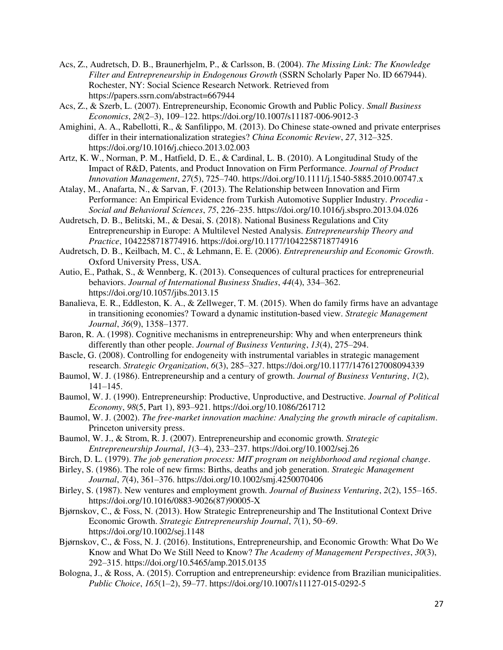- Acs, Z., Audretsch, D. B., Braunerhjelm, P., & Carlsson, B. (2004). *The Missing Link: The Knowledge Filter and Entrepreneurship in Endogenous Growth* (SSRN Scholarly Paper No. ID 667944). Rochester, NY: Social Science Research Network. Retrieved from https://papers.ssrn.com/abstract=667944
- Acs, Z., & Szerb, L. (2007). Entrepreneurship, Economic Growth and Public Policy. *Small Business Economics*, *28*(2–3), 109–122. https://doi.org/10.1007/s11187-006-9012-3
- Amighini, A. A., Rabellotti, R., & Sanfilippo, M. (2013). Do Chinese state-owned and private enterprises differ in their internationalization strategies? *China Economic Review*, *27*, 312–325. https://doi.org/10.1016/j.chieco.2013.02.003
- Artz, K. W., Norman, P. M., Hatfield, D. E., & Cardinal, L. B. (2010). A Longitudinal Study of the Impact of R&D, Patents, and Product Innovation on Firm Performance. *Journal of Product Innovation Management*, *27*(5), 725–740. https://doi.org/10.1111/j.1540-5885.2010.00747.x
- Atalay, M., Anafarta, N., & Sarvan, F. (2013). The Relationship between Innovation and Firm Performance: An Empirical Evidence from Turkish Automotive Supplier Industry. *Procedia - Social and Behavioral Sciences*, *75*, 226–235. https://doi.org/10.1016/j.sbspro.2013.04.026
- Audretsch, D. B., Belitski, M., & Desai, S. (2018). National Business Regulations and City Entrepreneurship in Europe: A Multilevel Nested Analysis. *Entrepreneurship Theory and Practice*, 1042258718774916. https://doi.org/10.1177/1042258718774916
- Audretsch, D. B., Keilbach, M. C., & Lehmann, E. E. (2006). *Entrepreneurship and Economic Growth*. Oxford University Press, USA.
- Autio, E., Pathak, S., & Wennberg, K. (2013). Consequences of cultural practices for entrepreneurial behaviors. *Journal of International Business Studies*, *44*(4), 334–362. https://doi.org/10.1057/jibs.2013.15
- Banalieva, E. R., Eddleston, K. A., & Zellweger, T. M. (2015). When do family firms have an advantage in transitioning economies? Toward a dynamic institution‐based view. *Strategic Management Journal*, *36*(9), 1358–1377.
- Baron, R. A. (1998). Cognitive mechanisms in entrepreneurship: Why and when enterpreneurs think differently than other people. *Journal of Business Venturing*, *13*(4), 275–294.
- Bascle, G. (2008). Controlling for endogeneity with instrumental variables in strategic management research. *Strategic Organization*, *6*(3), 285–327. https://doi.org/10.1177/1476127008094339
- Baumol, W. J. (1986). Entrepreneurship and a century of growth. *Journal of Business Venturing*, *1*(2), 141–145.
- Baumol, W. J. (1990). Entrepreneurship: Productive, Unproductive, and Destructive. *Journal of Political Economy*, *98*(5, Part 1), 893–921. https://doi.org/10.1086/261712
- Baumol, W. J. (2002). *The free-market innovation machine: Analyzing the growth miracle of capitalism*. Princeton university press.
- Baumol, W. J., & Strom, R. J. (2007). Entrepreneurship and economic growth. *Strategic Entrepreneurship Journal*, *1*(3–4), 233–237. https://doi.org/10.1002/sej.26
- Birch, D. L. (1979). *The job generation process: MIT program on neighborhood and regional change*.
- Birley, S. (1986). The role of new firms: Births, deaths and job generation. *Strategic Management Journal*, *7*(4), 361–376. https://doi.org/10.1002/smj.4250070406
- Birley, S. (1987). New ventures and employment growth. *Journal of Business Venturing*, *2*(2), 155–165. https://doi.org/10.1016/0883-9026(87)90005-X
- Bjørnskov, C., & Foss, N. (2013). How Strategic Entrepreneurship and The Institutional Context Drive Economic Growth. *Strategic Entrepreneurship Journal*, *7*(1), 50–69. https://doi.org/10.1002/sej.1148
- Bjørnskov, C., & Foss, N. J. (2016). Institutions, Entrepreneurship, and Economic Growth: What Do We Know and What Do We Still Need to Know? *The Academy of Management Perspectives*, *30*(3), 292–315. https://doi.org/10.5465/amp.2015.0135
- Bologna, J., & Ross, A. (2015). Corruption and entrepreneurship: evidence from Brazilian municipalities. *Public Choice*, *165*(1–2), 59–77. https://doi.org/10.1007/s11127-015-0292-5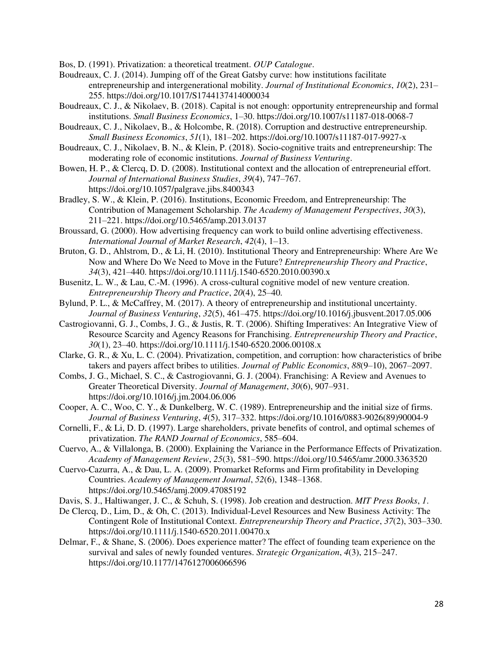Bos, D. (1991). Privatization: a theoretical treatment. *OUP Catalogue*.

- Boudreaux, C. J. (2014). Jumping off of the Great Gatsby curve: how institutions facilitate entrepreneurship and intergenerational mobility. *Journal of Institutional Economics*, *10*(2), 231– 255. https://doi.org/10.1017/S1744137414000034
- Boudreaux, C. J., & Nikolaev, B. (2018). Capital is not enough: opportunity entrepreneurship and formal institutions. *Small Business Economics*, 1–30. https://doi.org/10.1007/s11187-018-0068-7
- Boudreaux, C. J., Nikolaev, B., & Holcombe, R. (2018). Corruption and destructive entrepreneurship. *Small Business Economics*, *51*(1), 181–202. https://doi.org/10.1007/s11187-017-9927-x
- Boudreaux, C. J., Nikolaev, B. N., & Klein, P. (2018). Socio-cognitive traits and entrepreneurship: The moderating role of economic institutions. *Journal of Business Venturing*.
- Bowen, H. P., & Clercq, D. D. (2008). Institutional context and the allocation of entrepreneurial effort. *Journal of International Business Studies*, *39*(4), 747–767. https://doi.org/10.1057/palgrave.jibs.8400343
- Bradley, S. W., & Klein, P. (2016). Institutions, Economic Freedom, and Entrepreneurship: The Contribution of Management Scholarship. *The Academy of Management Perspectives*, *30*(3), 211–221. https://doi.org/10.5465/amp.2013.0137
- Broussard, G. (2000). How advertising frequency can work to build online advertising effectiveness. *International Journal of Market Research*, *42*(4), 1–13.
- Bruton, G. D., Ahlstrom, D., & Li, H. (2010). Institutional Theory and Entrepreneurship: Where Are We Now and Where Do We Need to Move in the Future? *Entrepreneurship Theory and Practice*, *34*(3), 421–440. https://doi.org/10.1111/j.1540-6520.2010.00390.x
- Busenitz, L. W., & Lau, C.-M. (1996). A cross-cultural cognitive model of new venture creation. *Entrepreneurship Theory and Practice*, *20*(4), 25–40.
- Bylund, P. L., & McCaffrey, M. (2017). A theory of entrepreneurship and institutional uncertainty. *Journal of Business Venturing*, *32*(5), 461–475. https://doi.org/10.1016/j.jbusvent.2017.05.006
- Castrogiovanni, G. J., Combs, J. G., & Justis, R. T. (2006). Shifting Imperatives: An Integrative View of Resource Scarcity and Agency Reasons for Franchising. *Entrepreneurship Theory and Practice*, *30*(1), 23–40. https://doi.org/10.1111/j.1540-6520.2006.00108.x
- Clarke, G. R., & Xu, L. C. (2004). Privatization, competition, and corruption: how characteristics of bribe takers and payers affect bribes to utilities. *Journal of Public Economics*, *88*(9–10), 2067–2097.
- Combs, J. G., Michael, S. C., & Castrogiovanni, G. J. (2004). Franchising: A Review and Avenues to Greater Theoretical Diversity. *Journal of Management*, *30*(6), 907–931. https://doi.org/10.1016/j.jm.2004.06.006
- Cooper, A. C., Woo, C. Y., & Dunkelberg, W. C. (1989). Entrepreneurship and the initial size of firms. *Journal of Business Venturing*, *4*(5), 317–332. https://doi.org/10.1016/0883-9026(89)90004-9
- Cornelli, F., & Li, D. D. (1997). Large shareholders, private benefits of control, and optimal schemes of privatization. *The RAND Journal of Economics*, 585–604.
- Cuervo, A., & Villalonga, B. (2000). Explaining the Variance in the Performance Effects of Privatization. *Academy of Management Review*, *25*(3), 581–590. https://doi.org/10.5465/amr.2000.3363520
- Cuervo-Cazurra, A., & Dau, L. A. (2009). Promarket Reforms and Firm profitability in Developing Countries. *Academy of Management Journal*, *52*(6), 1348–1368. https://doi.org/10.5465/amj.2009.47085192
- Davis, S. J., Haltiwanger, J. C., & Schuh, S. (1998). Job creation and destruction. *MIT Press Books*, *1*.
- De Clercq, D., Lim, D., & Oh, C. (2013). Individual-Level Resources and New Business Activity: The Contingent Role of Institutional Context. *Entrepreneurship Theory and Practice*, *37*(2), 303–330. https://doi.org/10.1111/j.1540-6520.2011.00470.x
- Delmar, F., & Shane, S. (2006). Does experience matter? The effect of founding team experience on the survival and sales of newly founded ventures. *Strategic Organization*, *4*(3), 215–247. https://doi.org/10.1177/1476127006066596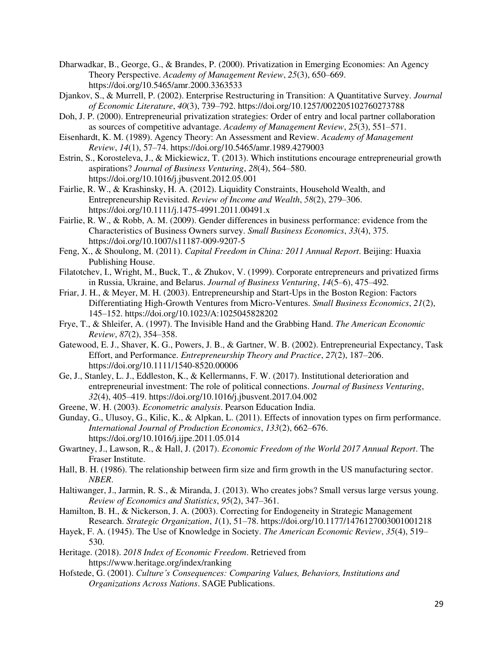Dharwadkar, B., George, G., & Brandes, P. (2000). Privatization in Emerging Economies: An Agency Theory Perspective. *Academy of Management Review*, *25*(3), 650–669. https://doi.org/10.5465/amr.2000.3363533

- Djankov, S., & Murrell, P. (2002). Enterprise Restructuring in Transition: A Quantitative Survey. *Journal of Economic Literature*, *40*(3), 739–792. https://doi.org/10.1257/002205102760273788
- Doh, J. P. (2000). Entrepreneurial privatization strategies: Order of entry and local partner collaboration as sources of competitive advantage. *Academy of Management Review*, *25*(3), 551–571.
- Eisenhardt, K. M. (1989). Agency Theory: An Assessment and Review. *Academy of Management Review*, *14*(1), 57–74. https://doi.org/10.5465/amr.1989.4279003
- Estrin, S., Korosteleva, J., & Mickiewicz, T. (2013). Which institutions encourage entrepreneurial growth aspirations? *Journal of Business Venturing*, *28*(4), 564–580. https://doi.org/10.1016/j.jbusvent.2012.05.001
- Fairlie, R. W., & Krashinsky, H. A. (2012). Liquidity Constraints, Household Wealth, and Entrepreneurship Revisited. *Review of Income and Wealth*, *58*(2), 279–306. https://doi.org/10.1111/j.1475-4991.2011.00491.x
- Fairlie, R. W., & Robb, A. M. (2009). Gender differences in business performance: evidence from the Characteristics of Business Owners survey. *Small Business Economics*, *33*(4), 375. https://doi.org/10.1007/s11187-009-9207-5
- Feng, X., & Shoulong, M. (2011). *Capital Freedom in China: 2011 Annual Report*. Beijing: Huaxia Publishing House.
- Filatotchev, I., Wright, M., Buck, T., & Zhukov, V. (1999). Corporate entrepreneurs and privatized firms in Russia, Ukraine, and Belarus. *Journal of Business Venturing*, *14*(5–6), 475–492.
- Friar, J. H., & Meyer, M. H. (2003). Entrepreneurship and Start-Ups in the Boston Region: Factors Differentiating High-Growth Ventures from Micro-Ventures. *Small Business Economics*, *21*(2), 145–152. https://doi.org/10.1023/A:1025045828202
- Frye, T., & Shleifer, A. (1997). The Invisible Hand and the Grabbing Hand. *The American Economic Review*, *87*(2), 354–358.
- Gatewood, E. J., Shaver, K. G., Powers, J. B., & Gartner, W. B. (2002). Entrepreneurial Expectancy, Task Effort, and Performance. *Entrepreneurship Theory and Practice*, *27*(2), 187–206. https://doi.org/10.1111/1540-8520.00006
- Ge, J., Stanley, L. J., Eddleston, K., & Kellermanns, F. W. (2017). Institutional deterioration and entrepreneurial investment: The role of political connections. *Journal of Business Venturing*, *32*(4), 405–419. https://doi.org/10.1016/j.jbusvent.2017.04.002
- Greene, W. H. (2003). *Econometric analysis*. Pearson Education India.
- Gunday, G., Ulusoy, G., Kilic, K., & Alpkan, L. (2011). Effects of innovation types on firm performance. *International Journal of Production Economics*, *133*(2), 662–676. https://doi.org/10.1016/j.ijpe.2011.05.014
- Gwartney, J., Lawson, R., & Hall, J. (2017). *Economic Freedom of the World 2017 Annual Report*. The Fraser Institute.
- Hall, B. H. (1986). The relationship between firm size and firm growth in the US manufacturing sector. *NBER*.
- Haltiwanger, J., Jarmin, R. S., & Miranda, J. (2013). Who creates jobs? Small versus large versus young. *Review of Economics and Statistics*, *95*(2), 347–361.
- Hamilton, B. H., & Nickerson, J. A. (2003). Correcting for Endogeneity in Strategic Management Research. *Strategic Organization*, *1*(1), 51–78. https://doi.org/10.1177/1476127003001001218
- Hayek, F. A. (1945). The Use of Knowledge in Society. *The American Economic Review*, *35*(4), 519– 530.
- Heritage. (2018). *2018 Index of Economic Freedom*. Retrieved from https://www.heritage.org/index/ranking
- Hofstede, G. (2001). *Culture's Consequences: Comparing Values, Behaviors, Institutions and Organizations Across Nations*. SAGE Publications.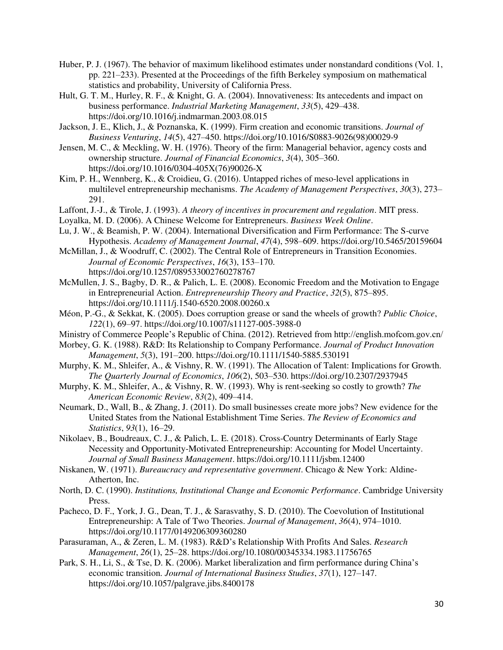- Huber, P. J. (1967). The behavior of maximum likelihood estimates under nonstandard conditions (Vol. 1, pp. 221–233). Presented at the Proceedings of the fifth Berkeley symposium on mathematical statistics and probability, University of California Press.
- Hult, G. T. M., Hurley, R. F., & Knight, G. A. (2004). Innovativeness: Its antecedents and impact on business performance. *Industrial Marketing Management*, *33*(5), 429–438. https://doi.org/10.1016/j.indmarman.2003.08.015
- Jackson, J. E., Klich, J., & Poznanska, K. (1999). Firm creation and economic transitions. *Journal of Business Venturing*, *14*(5), 427–450. https://doi.org/10.1016/S0883-9026(98)00029-9
- Jensen, M. C., & Meckling, W. H. (1976). Theory of the firm: Managerial behavior, agency costs and ownership structure. *Journal of Financial Economics*, *3*(4), 305–360. https://doi.org/10.1016/0304-405X(76)90026-X
- Kim, P. H., Wennberg, K., & Croidieu, G. (2016). Untapped riches of meso-level applications in multilevel entrepreneurship mechanisms. *The Academy of Management Perspectives*, *30*(3), 273– 291.
- Laffont, J.-J., & Tirole, J. (1993). *A theory of incentives in procurement and regulation*. MIT press.
- Loyalka, M. D. (2006). A Chinese Welcome for Entrepreneurs. *Business Week Online*.
- Lu, J. W., & Beamish, P. W. (2004). International Diversification and Firm Performance: The S-curve Hypothesis. *Academy of Management Journal*, *47*(4), 598–609. https://doi.org/10.5465/20159604
- McMillan, J., & Woodruff, C. (2002). The Central Role of Entrepreneurs in Transition Economies. *Journal of Economic Perspectives*, *16*(3), 153–170. https://doi.org/10.1257/089533002760278767
- McMullen, J. S., Bagby, D. R., & Palich, L. E. (2008). Economic Freedom and the Motivation to Engage in Entrepreneurial Action. *Entrepreneurship Theory and Practice*, *32*(5), 875–895. https://doi.org/10.1111/j.1540-6520.2008.00260.x
- Méon, P.-G., & Sekkat, K. (2005). Does corruption grease or sand the wheels of growth? *Public Choice*, *122*(1), 69–97. https://doi.org/10.1007/s11127-005-3988-0
- Ministry of Commerce People's Republic of China. (2012). Retrieved from http://english.mofcom.gov.cn/
- Morbey, G. K. (1988). R&D: Its Relationship to Company Performance. *Journal of Product Innovation Management*, *5*(3), 191–200. https://doi.org/10.1111/1540-5885.530191
- Murphy, K. M., Shleifer, A., & Vishny, R. W. (1991). The Allocation of Talent: Implications for Growth. *The Quarterly Journal of Economics*, *106*(2), 503–530. https://doi.org/10.2307/2937945
- Murphy, K. M., Shleifer, A., & Vishny, R. W. (1993). Why is rent-seeking so costly to growth? *The American Economic Review*, *83*(2), 409–414.
- Neumark, D., Wall, B., & Zhang, J. (2011). Do small businesses create more jobs? New evidence for the United States from the National Establishment Time Series. *The Review of Economics and Statistics*, *93*(1), 16–29.
- Nikolaev, B., Boudreaux, C. J., & Palich, L. E. (2018). Cross-Country Determinants of Early Stage Necessity and Opportunity-Motivated Entrepreneurship: Accounting for Model Uncertainty. *Journal of Small Business Management*. https://doi.org/10.1111/jsbm.12400
- Niskanen, W. (1971). *Bureaucracy and representative government*. Chicago & New York: Aldine-Atherton, Inc.
- North, D. C. (1990). *Institutions, Institutional Change and Economic Performance*. Cambridge University Press.
- Pacheco, D. F., York, J. G., Dean, T. J., & Sarasvathy, S. D. (2010). The Coevolution of Institutional Entrepreneurship: A Tale of Two Theories. *Journal of Management*, *36*(4), 974–1010. https://doi.org/10.1177/0149206309360280
- Parasuraman, A., & Zeren, L. M. (1983). R&D's Relationship With Profits And Sales. *Research Management*, *26*(1), 25–28. https://doi.org/10.1080/00345334.1983.11756765
- Park, S. H., Li, S., & Tse, D. K. (2006). Market liberalization and firm performance during China's economic transition. *Journal of International Business Studies*, *37*(1), 127–147. https://doi.org/10.1057/palgrave.jibs.8400178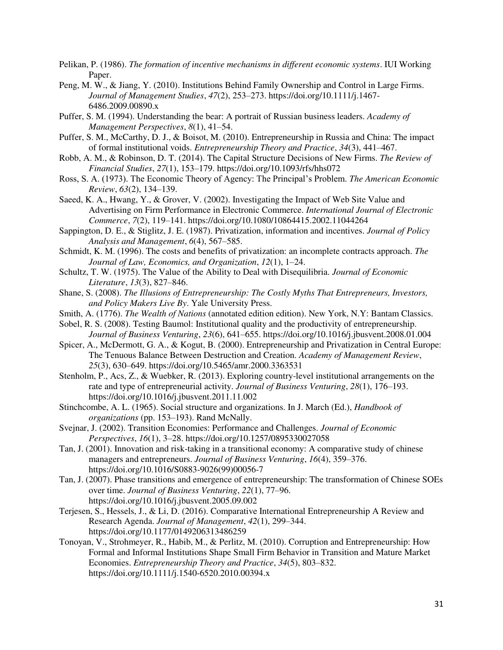- Pelikan, P. (1986). *The formation of incentive mechanisms in different economic systems*. IUI Working Paper.
- Peng, M. W., & Jiang, Y. (2010). Institutions Behind Family Ownership and Control in Large Firms. *Journal of Management Studies*, *47*(2), 253–273. https://doi.org/10.1111/j.1467- 6486.2009.00890.x
- Puffer, S. M. (1994). Understanding the bear: A portrait of Russian business leaders. *Academy of Management Perspectives*, *8*(1), 41–54.
- Puffer, S. M., McCarthy, D. J., & Boisot, M. (2010). Entrepreneurship in Russia and China: The impact of formal institutional voids. *Entrepreneurship Theory and Practice*, *34*(3), 441–467.
- Robb, A. M., & Robinson, D. T. (2014). The Capital Structure Decisions of New Firms. *The Review of Financial Studies*, *27*(1), 153–179. https://doi.org/10.1093/rfs/hhs072
- Ross, S. A. (1973). The Economic Theory of Agency: The Principal's Problem. *The American Economic Review*, *63*(2), 134–139.
- Saeed, K. A., Hwang, Y., & Grover, V. (2002). Investigating the Impact of Web Site Value and Advertising on Firm Performance in Electronic Commerce. *International Journal of Electronic Commerce*, *7*(2), 119–141. https://doi.org/10.1080/10864415.2002.11044264
- Sappington, D. E., & Stiglitz, J. E. (1987). Privatization, information and incentives. *Journal of Policy Analysis and Management*, *6*(4), 567–585.
- Schmidt, K. M. (1996). The costs and benefits of privatization: an incomplete contracts approach. *The Journal of Law, Economics, and Organization*, *12*(1), 1–24.
- Schultz, T. W. (1975). The Value of the Ability to Deal with Disequilibria. *Journal of Economic Literature*, *13*(3), 827–846.
- Shane, S. (2008). *The Illusions of Entrepreneurship: The Costly Myths That Entrepreneurs, Investors, and Policy Makers Live By*. Yale University Press.
- Smith, A. (1776). *The Wealth of Nations* (annotated edition edition). New York, N.Y: Bantam Classics.
- Sobel, R. S. (2008). Testing Baumol: Institutional quality and the productivity of entrepreneurship. *Journal of Business Venturing*, *23*(6), 641–655. https://doi.org/10.1016/j.jbusvent.2008.01.004
- Spicer, A., McDermott, G. A., & Kogut, B. (2000). Entrepreneurship and Privatization in Central Europe: The Tenuous Balance Between Destruction and Creation. *Academy of Management Review*, *25*(3), 630–649. https://doi.org/10.5465/amr.2000.3363531
- Stenholm, P., Acs, Z., & Wuebker, R. (2013). Exploring country-level institutional arrangements on the rate and type of entrepreneurial activity. *Journal of Business Venturing*, *28*(1), 176–193. https://doi.org/10.1016/j.jbusvent.2011.11.002
- Stinchcombe, A. L. (1965). Social structure and organizations. In J. March (Ed.), *Handbook of organizations* (pp. 153–193). Rand McNally.
- Svejnar, J. (2002). Transition Economies: Performance and Challenges. *Journal of Economic Perspectives*, *16*(1), 3–28. https://doi.org/10.1257/0895330027058
- Tan, J. (2001). Innovation and risk-taking in a transitional economy: A comparative study of chinese managers and entrepreneurs. *Journal of Business Venturing*, *16*(4), 359–376. https://doi.org/10.1016/S0883-9026(99)00056-7
- Tan, J. (2007). Phase transitions and emergence of entrepreneurship: The transformation of Chinese SOEs over time. *Journal of Business Venturing*, *22*(1), 77–96. https://doi.org/10.1016/j.jbusvent.2005.09.002
- Terjesen, S., Hessels, J., & Li, D. (2016). Comparative International Entrepreneurship A Review and Research Agenda. *Journal of Management*, *42*(1), 299–344. https://doi.org/10.1177/0149206313486259
- Tonoyan, V., Strohmeyer, R., Habib, M., & Perlitz, M. (2010). Corruption and Entrepreneurship: How Formal and Informal Institutions Shape Small Firm Behavior in Transition and Mature Market Economies. *Entrepreneurship Theory and Practice*, *34*(5), 803–832. https://doi.org/10.1111/j.1540-6520.2010.00394.x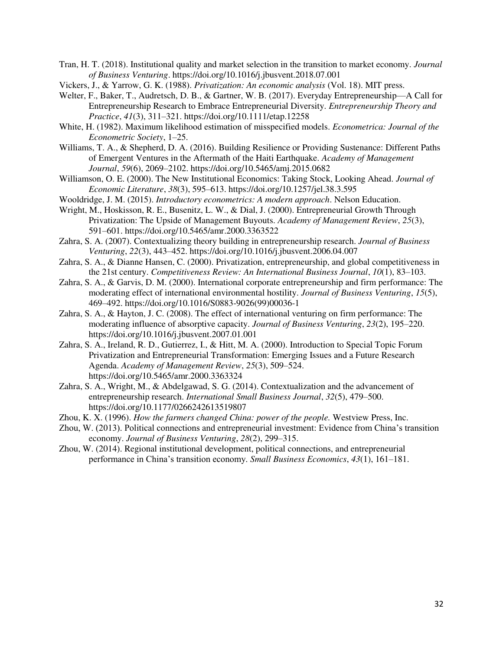- Tran, H. T. (2018). Institutional quality and market selection in the transition to market economy. *Journal of Business Venturing*. https://doi.org/10.1016/j.jbusvent.2018.07.001
- Vickers, J., & Yarrow, G. K. (1988). *Privatization: An economic analysis* (Vol. 18). MIT press.
- Welter, F., Baker, T., Audretsch, D. B., & Gartner, W. B. (2017). Everyday Entrepreneurship—A Call for Entrepreneurship Research to Embrace Entrepreneurial Diversity. *Entrepreneurship Theory and Practice*, *41*(3), 311–321. https://doi.org/10.1111/etap.12258
- White, H. (1982). Maximum likelihood estimation of misspecified models. *Econometrica: Journal of the Econometric Society*, 1–25.
- Williams, T. A., & Shepherd, D. A. (2016). Building Resilience or Providing Sustenance: Different Paths of Emergent Ventures in the Aftermath of the Haiti Earthquake. *Academy of Management Journal*, *59*(6), 2069–2102. https://doi.org/10.5465/amj.2015.0682
- Williamson, O. E. (2000). The New Institutional Economics: Taking Stock, Looking Ahead. *Journal of Economic Literature*, *38*(3), 595–613. https://doi.org/10.1257/jel.38.3.595
- Wooldridge, J. M. (2015). *Introductory econometrics: A modern approach*. Nelson Education.
- Wright, M., Hoskisson, R. E., Busenitz, L. W., & Dial, J. (2000). Entrepreneurial Growth Through Privatization: The Upside of Management Buyouts. *Academy of Management Review*, *25*(3), 591–601. https://doi.org/10.5465/amr.2000.3363522
- Zahra, S. A. (2007). Contextualizing theory building in entrepreneurship research. *Journal of Business Venturing*, *22*(3), 443–452. https://doi.org/10.1016/j.jbusvent.2006.04.007
- Zahra, S. A., & Dianne Hansen, C. (2000). Privatization, entrepreneurship, and global competitiveness in the 21st century. *Competitiveness Review: An International Business Journal*, *10*(1), 83–103.
- Zahra, S. A., & Garvis, D. M. (2000). International corporate entrepreneurship and firm performance: The moderating effect of international environmental hostility. *Journal of Business Venturing*, *15*(5), 469–492. https://doi.org/10.1016/S0883-9026(99)00036-1
- Zahra, S. A., & Hayton, J. C. (2008). The effect of international venturing on firm performance: The moderating influence of absorptive capacity. *Journal of Business Venturing*, *23*(2), 195–220. https://doi.org/10.1016/j.jbusvent.2007.01.001
- Zahra, S. A., Ireland, R. D., Gutierrez, I., & Hitt, M. A. (2000). Introduction to Special Topic Forum Privatization and Entrepreneurial Transformation: Emerging Issues and a Future Research Agenda. *Academy of Management Review*, *25*(3), 509–524. https://doi.org/10.5465/amr.2000.3363324
- Zahra, S. A., Wright, M., & Abdelgawad, S. G. (2014). Contextualization and the advancement of entrepreneurship research. *International Small Business Journal*, *32*(5), 479–500. https://doi.org/10.1177/0266242613519807
- Zhou, K. X. (1996). *How the farmers changed China: power of the people.* Westview Press, Inc.
- Zhou, W. (2013). Political connections and entrepreneurial investment: Evidence from China's transition economy. *Journal of Business Venturing*, *28*(2), 299–315.
- Zhou, W. (2014). Regional institutional development, political connections, and entrepreneurial performance in China's transition economy. *Small Business Economics*, *43*(1), 161–181.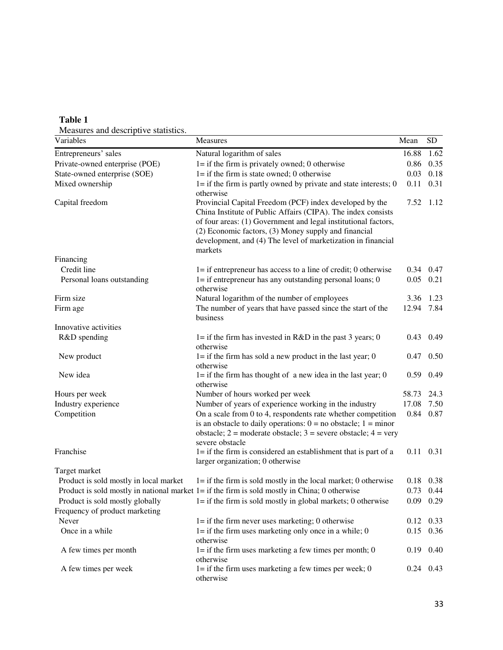| Measures and descriptive statistics.<br>Variables | Measures                                                                                                                                                                                                                                                                                                                     | Mean       | <b>SD</b>         |
|---------------------------------------------------|------------------------------------------------------------------------------------------------------------------------------------------------------------------------------------------------------------------------------------------------------------------------------------------------------------------------------|------------|-------------------|
| Entrepreneurs' sales                              | Natural logarithm of sales                                                                                                                                                                                                                                                                                                   | 16.88      | 1.62              |
| Private-owned enterprise (POE)                    | $l =$ if the firm is privately owned; 0 otherwise                                                                                                                                                                                                                                                                            | 0.86       | 0.35              |
| State-owned enterprise (SOE)                      | $l =$ if the firm is state owned; 0 otherwise                                                                                                                                                                                                                                                                                | 0.03       | 0.18              |
| Mixed ownership                                   | $l =$ if the firm is partly owned by private and state interests; 0<br>otherwise                                                                                                                                                                                                                                             | 0.11       | 0.31              |
| Capital freedom                                   | Provincial Capital Freedom (PCF) index developed by the<br>China Institute of Public Affairs (CIPA). The index consists<br>of four areas: (1) Government and legal institutional factors,<br>(2) Economic factors, (3) Money supply and financial<br>development, and (4) The level of marketization in financial<br>markets | 7.52       | 1.12              |
| Financing                                         |                                                                                                                                                                                                                                                                                                                              |            |                   |
| Credit line                                       | $l =$ if entrepreneur has access to a line of credit; 0 otherwise                                                                                                                                                                                                                                                            | 0.34       | 0.47              |
| Personal loans outstanding                        | $l =$ if entrepreneur has any outstanding personal loans; 0<br>otherwise                                                                                                                                                                                                                                                     | 0.05       | 0.21              |
| Firm size                                         | Natural logarithm of the number of employees                                                                                                                                                                                                                                                                                 | 3.36       | 1.23              |
| Firm age                                          | The number of years that have passed since the start of the<br>business                                                                                                                                                                                                                                                      | 12.94 7.84 |                   |
| Innovative activities                             |                                                                                                                                                                                                                                                                                                                              |            |                   |
| R&D spending                                      | 1= if the firm has invested in $R&D$ in the past 3 years; 0<br>otherwise                                                                                                                                                                                                                                                     | 0.43       | 0.49              |
| New product                                       | $l =$ if the firm has sold a new product in the last year; 0<br>otherwise                                                                                                                                                                                                                                                    | 0.47       | 0.50              |
| New idea                                          | $l =$ if the firm has thought of a new idea in the last year; 0<br>otherwise                                                                                                                                                                                                                                                 | 0.59       | 0.49              |
| Hours per week                                    | Number of hours worked per week                                                                                                                                                                                                                                                                                              | 58.73      | 24.3              |
| Industry experience                               | Number of years of experience working in the industry                                                                                                                                                                                                                                                                        | 17.08      | 7.50              |
| Competition                                       | On a scale from 0 to 4, respondents rate whether competition<br>is an obstacle to daily operations: $0 = no$ obstacle; $1 = minor$<br>obstacle; $2 =$ moderate obstacle; $3 =$ severe obstacle; $4 =$ very<br>severe obstacle                                                                                                | 0.84       | 0.87              |
| Franchise                                         | $l =$ if the firm is considered an establishment that is part of a<br>larger organization; 0 otherwise                                                                                                                                                                                                                       |            | $0.11$ $0.31$     |
| Target market                                     |                                                                                                                                                                                                                                                                                                                              |            |                   |
| Product is sold mostly in local market            | $l =$ if the firm is sold mostly in the local market; 0 otherwise                                                                                                                                                                                                                                                            | 0.18       | 0.38              |
|                                                   | Product is sold mostly in national market $1 =$ if the firm is sold mostly in China; 0 otherwise                                                                                                                                                                                                                             | 0.73       | 0.44              |
| Product is sold mostly globally                   | $l =$ if the firm is sold mostly in global markets; 0 otherwise                                                                                                                                                                                                                                                              |            | $0.09$ 0.29       |
| Frequency of product marketing                    |                                                                                                                                                                                                                                                                                                                              |            |                   |
| Never                                             | $l =$ if the firm never uses marketing; 0 otherwise                                                                                                                                                                                                                                                                          |            | $0.12 \quad 0.33$ |
| Once in a while                                   | $l =$ if the firm uses marketing only once in a while; 0<br>otherwise                                                                                                                                                                                                                                                        | 0.15       | 0.36              |
| A few times per month                             | $l =$ if the firm uses marketing a few times per month; 0<br>otherwise                                                                                                                                                                                                                                                       | 0.19       | 0.40              |
| A few times per week                              | $l =$ if the firm uses marketing a few times per week; 0<br>otherwise                                                                                                                                                                                                                                                        |            | $0.24$ 0.43       |

## **Table 1**

Measures and descriptive statistics.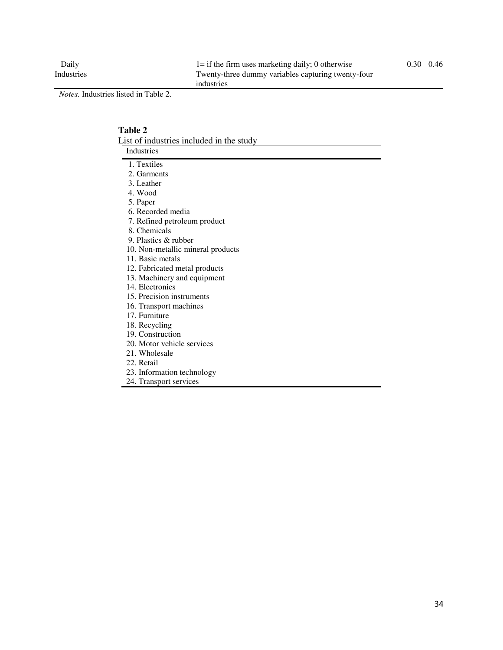*Notes.* Industries listed in Table 2.

#### **Table 2**  List of industries included in the study Industries 1. Textiles 2. Garments 3. Leather 4. Wood 5. Paper 6. Recorded media 7. Refined petroleum product 8. Chemicals 9. Plastics & rubber

- 10. Non-metallic mineral products
- 11. Basic metals
- 12. Fabricated metal products
- 13. Machinery and equipment
- 14. Electronics
- 15. Precision instruments
- 16. Transport machines
- 17. Furniture
- 18. Recycling
- 19. Construction
- 20. Motor vehicle services
- 21. Wholesale
- 22. Retail
- 23. Information technology
- 24. Transport services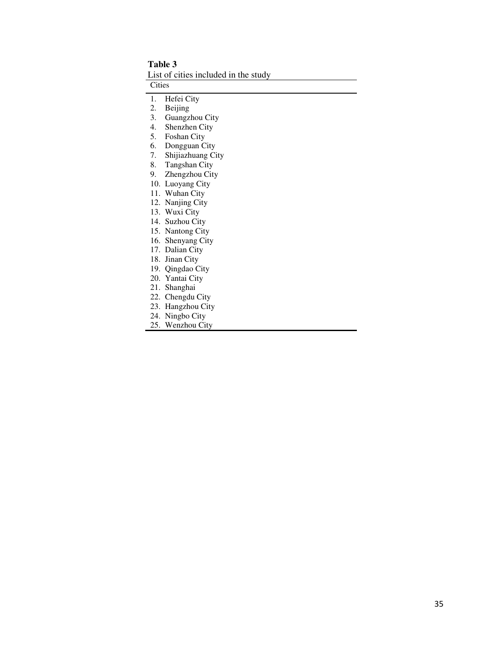#### **Table 3**

List of cities included in the study

Cities

1. Hefei City

2. Beijing

3. Guangzhou City

4. Shenzhen City

5. Foshan City

6. Dongguan City

7. Shijiazhuang City

8. Tangshan City

9. Zhengzhou City

10. Luoyang City

11. Wuhan City

12. Nanjing City

13. Wuxi City

14. Suzhou City

15. Nantong City

16. Shenyang City

17. Dalian City

18. Jinan City

19. Qingdao City

20. Yantai City

21. Shanghai

22. Chengdu City

23. Hangzhou City

24. Ningbo City

25. Wenzhou City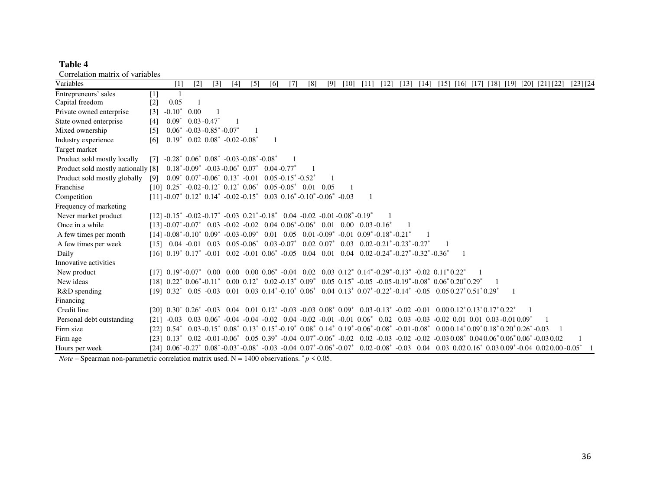## **Table 4**

| Correlation matrix of variables |  |  |
|---------------------------------|--|--|
|                                 |  |  |

| Correlation matrix or variables<br>Variables |                   | $\lceil 1 \rceil$ | $[2]$                                                | $\lceil 3 \rceil$ | $[4]$                                                                                                                   | $\lceil 5 \rceil$ | [6] | $\lceil 7 \rceil$ | [8] | [9] | [10] | [11]                                                                                                                                                                                                                                                                                                                             | [12] | [13] | $[14]$ |  |  |              | $\lceil 15 \rceil$ $\lceil 16 \rceil$ $\lceil 17 \rceil$ $\lceil 18 \rceil$ $\lceil 19 \rceil$ $\lceil 20 \rceil$ $\lceil 21 \rceil$ $\lceil 22 \rceil$                                                                                                                              | $[23]$ $[24]$ |
|----------------------------------------------|-------------------|-------------------|------------------------------------------------------|-------------------|-------------------------------------------------------------------------------------------------------------------------|-------------------|-----|-------------------|-----|-----|------|----------------------------------------------------------------------------------------------------------------------------------------------------------------------------------------------------------------------------------------------------------------------------------------------------------------------------------|------|------|--------|--|--|--------------|--------------------------------------------------------------------------------------------------------------------------------------------------------------------------------------------------------------------------------------------------------------------------------------|---------------|
| Entrepreneurs' sales                         | $[1]$             |                   |                                                      |                   |                                                                                                                         |                   |     |                   |     |     |      |                                                                                                                                                                                                                                                                                                                                  |      |      |        |  |  |              |                                                                                                                                                                                                                                                                                      |               |
| Capital freedom                              | $[2]$             | 0.05              |                                                      |                   |                                                                                                                         |                   |     |                   |     |     |      |                                                                                                                                                                                                                                                                                                                                  |      |      |        |  |  |              |                                                                                                                                                                                                                                                                                      |               |
| Private owned enterprise                     | $\lceil 3 \rceil$ | $-0.10*$          | 0.00                                                 |                   |                                                                                                                         |                   |     |                   |     |     |      |                                                                                                                                                                                                                                                                                                                                  |      |      |        |  |  |              |                                                                                                                                                                                                                                                                                      |               |
| State owned enterprise                       | [4]               | $0.09*$           |                                                      | $0.03 - 0.47^*$   |                                                                                                                         |                   |     |                   |     |     |      |                                                                                                                                                                                                                                                                                                                                  |      |      |        |  |  |              |                                                                                                                                                                                                                                                                                      |               |
| Mixed ownership                              | $\lceil 5 \rceil$ |                   | $0.06^*$ -0.03 -0.85 <sup>*</sup> -0.07 <sup>*</sup> |                   |                                                                                                                         |                   |     |                   |     |     |      |                                                                                                                                                                                                                                                                                                                                  |      |      |        |  |  |              |                                                                                                                                                                                                                                                                                      |               |
| Industry experience                          | [6]               |                   |                                                      |                   | $0.19^*$ 0.02 $0.08^*$ -0.02 -0.08 <sup>*</sup>                                                                         |                   |     |                   |     |     |      |                                                                                                                                                                                                                                                                                                                                  |      |      |        |  |  |              |                                                                                                                                                                                                                                                                                      |               |
| Target market                                |                   |                   |                                                      |                   |                                                                                                                         |                   |     |                   |     |     |      |                                                                                                                                                                                                                                                                                                                                  |      |      |        |  |  |              |                                                                                                                                                                                                                                                                                      |               |
| Product sold mostly locally                  | $\lceil 7 \rceil$ |                   |                                                      |                   | $-0.28^*$ $0.06^*$ $0.08^*$ $-0.03$ $-0.08^*$ $-0.08^*$                                                                 |                   |     |                   |     |     |      |                                                                                                                                                                                                                                                                                                                                  |      |      |        |  |  |              |                                                                                                                                                                                                                                                                                      |               |
| Product sold mostly nationally [8]           |                   |                   |                                                      |                   | $0.18^*$ -0.09 <sup>*</sup> -0.03 -0.06 <sup>*</sup> 0.07 <sup>*</sup> 0.04 -0.77 <sup>*</sup>                          |                   |     |                   |     |     |      |                                                                                                                                                                                                                                                                                                                                  |      |      |        |  |  |              |                                                                                                                                                                                                                                                                                      |               |
| Product sold mostly globally                 | [9]               |                   |                                                      |                   | $0.09^*$ $0.07^*$ $-0.06^*$ $0.13^*$ $-0.01$ $0.05$ $-0.15^*$ $-0.52^*$                                                 |                   |     |                   |     |     |      |                                                                                                                                                                                                                                                                                                                                  |      |      |        |  |  |              |                                                                                                                                                                                                                                                                                      |               |
| Franchise                                    |                   |                   |                                                      |                   | $[10]$ 0.25 <sup>*</sup> -0.02 -0.12 <sup>*</sup> 0.12 <sup>*</sup> 0.06 <sup>*</sup> 0.05 -0.05 <sup>*</sup> 0.01 0.05 |                   |     |                   |     |     |      |                                                                                                                                                                                                                                                                                                                                  |      |      |        |  |  |              |                                                                                                                                                                                                                                                                                      |               |
| Competition                                  |                   |                   |                                                      |                   | $[11] -0.07^*$ 0.12* 0.14* $-0.02 -0.15^*$ 0.03 0.16* $-0.10^*$ -0.06* $-0.03$                                          |                   |     |                   |     |     |      |                                                                                                                                                                                                                                                                                                                                  |      |      |        |  |  |              |                                                                                                                                                                                                                                                                                      |               |
| Frequency of marketing                       |                   |                   |                                                      |                   |                                                                                                                         |                   |     |                   |     |     |      |                                                                                                                                                                                                                                                                                                                                  |      |      |        |  |  |              |                                                                                                                                                                                                                                                                                      |               |
| Never market product                         |                   |                   |                                                      |                   | $[12] -0.15^* -0.02 -0.17^* -0.03 \ 0.21^* -0.18^* \ 0.04 \ -0.02 \ -0.01 \ -0.08^* -0.19^*$                            |                   |     |                   |     |     |      |                                                                                                                                                                                                                                                                                                                                  |      |      |        |  |  |              |                                                                                                                                                                                                                                                                                      |               |
| Once in a while                              |                   |                   |                                                      |                   | $[13] -0.07^* -0.07^*$ 0.03 $-0.02$ $-0.02$ 0.04 0.06 $-0.06^*$                                                         |                   |     |                   |     |     |      | $0.01$ $0.00$ $0.03 -0.16^*$                                                                                                                                                                                                                                                                                                     |      |      |        |  |  |              |                                                                                                                                                                                                                                                                                      |               |
| A few times per month                        |                   |                   |                                                      |                   |                                                                                                                         |                   |     |                   |     |     |      | $[141 - 0.08^* - 0.10^*]$ $[0.09^* - 0.03 - 0.09^*]$ $[0.01 \quad 0.05 \quad 0.01 - 0.09^*]$ $[0.01 \quad 0.09^* - 0.18^* - 0.21^*]$                                                                                                                                                                                             |      |      |        |  |  |              |                                                                                                                                                                                                                                                                                      |               |
| A few times per week                         |                   |                   |                                                      |                   |                                                                                                                         |                   |     |                   |     |     |      | $\begin{bmatrix} 15 \\ 0.04 \\ -0.01 \\ 0.03 \\ 0.05 \\ -0.06 \\ 0.07 \\ 0.02 \\ 0.07 \\ 0.03 \\ -0.02 \\ 0.03 \\ 0.02 \\ -0.21 \\ 0.23 \\ -0.27 \\ 0.03 \\ -0.27 \\ 0.04 \\ -0.27 \\ 0.05 \\ -0.07 \\ 0.02 \\ -0.07 \\ 0.03 \\ -0.02 \\ -0.21 \\ 0.04 \\ -0.23 \\ 0.05 \\ -0.07 \\ 0.07 \\ -0.08 \\ -0.08 \\ -0.09 \\ -0.09 \\$ |      |      |        |  |  |              |                                                                                                                                                                                                                                                                                      |               |
| Daily                                        |                   |                   |                                                      |                   |                                                                                                                         |                   |     |                   |     |     |      | $[16]$ $0.19^*$ $0.17^*$ $-0.01$ $0.02$ $-0.01$ $0.06^*$ $-0.05$ $0.04$ $0.01$ $0.04$ $0.02$ $-0.24^*$ $-0.27^*$ $-0.32^*$ $-0.36^*$                                                                                                                                                                                             |      |      |        |  |  |              |                                                                                                                                                                                                                                                                                      |               |
| Innovative activities                        |                   |                   |                                                      |                   |                                                                                                                         |                   |     |                   |     |     |      |                                                                                                                                                                                                                                                                                                                                  |      |      |        |  |  |              |                                                                                                                                                                                                                                                                                      |               |
| New product                                  |                   |                   |                                                      |                   |                                                                                                                         |                   |     |                   |     |     |      | $[17]$ $0.19^*$ -0.07* $0.00$ $0.00$ $0.00$ $0.06^*$ -0.04 $0.02$ $0.03$ $0.12^*$ $0.14^*$ -0.29*-0.13* -0.02 $0.11^*0.22^*$                                                                                                                                                                                                     |      |      |        |  |  |              |                                                                                                                                                                                                                                                                                      |               |
| New ideas                                    |                   |                   |                                                      |                   |                                                                                                                         |                   |     |                   |     |     |      | $[18]$ $0.22^*$ $0.06^*$ - $0.11^*$ $0.00$ $0.12^*$ $0.02$ - $0.13^*$ $0.09^*$ $0.05$ $0.15^*$ - $0.05$ - $0.05$ - $0.19^*$ - $0.08^*$ $0.06^*$ $0.20^*$ $0.29^*$                                                                                                                                                                |      |      |        |  |  |              |                                                                                                                                                                                                                                                                                      |               |
| R&D spending                                 |                   |                   |                                                      |                   |                                                                                                                         |                   |     |                   |     |     |      | $[19]$ $0.32^*$ $0.05$ $-0.03$ $0.01$ $0.03$ $0.14^*$ $-0.10^*$ $0.06^*$ $0.04$ $0.13^*$ $0.07^*$ $-0.22^*$ $-0.14^*$ $-0.05$ $0.05$ $0.27^*$ $0.51^*$ $0.29^*$                                                                                                                                                                  |      |      |        |  |  | $\mathbf{1}$ |                                                                                                                                                                                                                                                                                      |               |
| Financing                                    |                   |                   |                                                      |                   |                                                                                                                         |                   |     |                   |     |     |      |                                                                                                                                                                                                                                                                                                                                  |      |      |        |  |  |              |                                                                                                                                                                                                                                                                                      |               |
| Credit line                                  |                   |                   |                                                      |                   |                                                                                                                         |                   |     |                   |     |     |      | $[201 \ 0.30^* \ 0.26^* \ -0.03 \ 0.04 \ 0.01 \ 0.12^* \ -0.03 \ -0.03 \ 0.08^* \ 0.09^* \ 0.03 \ -0.13^* \ -0.02 \ -0.01 \ 0.000 \ 0.12^* \ 0.13^* \ 0.17^* \ 0.22^*$                                                                                                                                                           |      |      |        |  |  |              |                                                                                                                                                                                                                                                                                      |               |
| Personal debt outstanding                    | [21]              | $-0.03$           |                                                      |                   |                                                                                                                         |                   |     |                   |     |     |      | $0.03$ $0.06^*$ -0.04 -0.04 -0.02 0.04 -0.02 -0.01 -0.01 0.06 <sup>*</sup> 0.02 0.03 -0.03 -0.02 0.01 0.01 0.03 -0.01 0.09 <sup>*</sup>                                                                                                                                                                                          |      |      |        |  |  |              |                                                                                                                                                                                                                                                                                      |               |
| Firm size                                    |                   |                   |                                                      |                   |                                                                                                                         |                   |     |                   |     |     |      | $[22]$ $0.54^*$ $0.03$ $-0.15^*$ $0.08^*$ $0.13^*$ $0.15^*$ $-0.19^*$ $0.08^*$ $0.14^*$ $0.19^*$ $-0.06^*$ $-0.08^*$ $-0.01$ $-0.08^*$ $0.00$ $0.14^*$ $0.09^*$ $0.18^*$ $0.20^*$ $0.26^*$ $-0.03$                                                                                                                               |      |      |        |  |  |              |                                                                                                                                                                                                                                                                                      |               |
| Firm age                                     |                   |                   |                                                      |                   |                                                                                                                         |                   |     |                   |     |     |      |                                                                                                                                                                                                                                                                                                                                  |      |      |        |  |  |              | $[231 \ 0.13^* \ 0.02 \ -0.01 \ -0.06^* \ 0.05 \ 0.39^* \ -0.04 \ 0.07^* \ -0.06^* \ -0.02 \ 0.02 \ -0.03 \ -0.02 \ -0.02 \ -0.03 \ 0.08^* \ 0.04 \ 0.06^* \ 0.06^* \ 0.06^* \ -0.03 \ 0.02 \ -0.04 \ -0.05 \ -0.05 \ -0.06 \ -0.07 \ -0.07 \ -0.07 \ -0.07 \ -0.07 \ -0.07 \ -0.07$ |               |
| Hours per week                               |                   |                   |                                                      |                   |                                                                                                                         |                   |     |                   |     |     |      |                                                                                                                                                                                                                                                                                                                                  |      |      |        |  |  |              | $[24]$ $0.06^*$ -0.27 <sup>*</sup> $0.08^*$ -0.03 <sup>*</sup> -0.08 <sup>*</sup> -0.03 -0.04 0.07 <sup>*</sup> -0.06 <sup>*</sup> -0.07 <sup>*</sup> 0.02-0.08 <sup>*</sup> -0.03 0.04 0.03 0.020.16 <sup>*</sup> 0.03 0.09 <sup>*</sup> -0.04 0.020.00 -0.05 <sup>*</sup>          |               |

*Note –* Spearman non-parametric correlation matrix used. N = 1400 observations.  $p \le 0.05$ .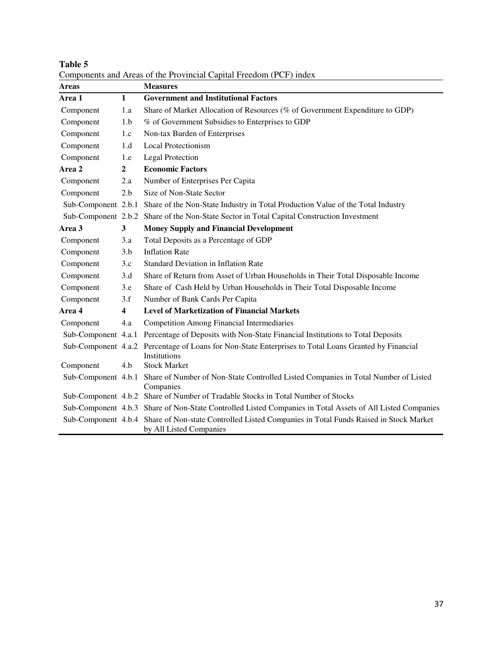| Areas               |                         | <b>Measures</b>                                                                                                                     |
|---------------------|-------------------------|-------------------------------------------------------------------------------------------------------------------------------------|
| Area 1              | $\mathbf{1}$            | <b>Government and Institutional Factors</b>                                                                                         |
| Component           | 1.a                     | Share of Market Allocation of Resources (% of Government Expenditure to GDP)                                                        |
| Component           | 1.b                     | % of Government Subsidies to Enterprises to GDP                                                                                     |
| Component           | 1.c                     | Non-tax Burden of Enterprises                                                                                                       |
| Component           | 1.d                     | <b>Local Protectionism</b>                                                                                                          |
| Component           | 1.e                     | <b>Legal Protection</b>                                                                                                             |
| Area 2              | $\mathbf{2}$            | <b>Economic Factors</b>                                                                                                             |
| Component           | 2.a                     | Number of Enterprises Per Capita                                                                                                    |
| Component           | 2.b                     | Size of Non-State Sector                                                                                                            |
| Sub-Component 2.b.1 |                         | Share of the Non-State Industry in Total Production Value of the Total Industry                                                     |
| Sub-Component 2.b.2 |                         | Share of the Non-State Sector in Total Capital Construction Investment                                                              |
| Area 3              | $\mathbf{3}$            | <b>Money Supply and Financial Development</b>                                                                                       |
| Component           | 3.a                     | Total Deposits as a Percentage of GDP                                                                                               |
| Component           | 3.b                     | <b>Inflation Rate</b>                                                                                                               |
| Component           | 3.c                     | <b>Standard Deviation in Inflation Rate</b>                                                                                         |
| Component           | 3.d                     | Share of Return from Asset of Urban Households in Their Total Disposable Income                                                     |
| Component           | 3.e                     | Share of Cash Held by Urban Households in Their Total Disposable Income                                                             |
| Component           | 3.f                     | Number of Bank Cards Per Capita                                                                                                     |
| Area 4              | $\overline{\mathbf{4}}$ | <b>Level of Marketization of Financial Markets</b>                                                                                  |
| Component           | 4.a                     | <b>Competition Among Financial Intermediaries</b>                                                                                   |
| Sub-Component 4.a.1 |                         | Percentage of Deposits with Non-State Financial Institutions to Total Deposits                                                      |
| Sub-Component 4.a.2 |                         | Percentage of Loans for Non-State Enterprises to Total Loans Granted by Financial<br>Institutions                                   |
| Component           | 4.b                     | <b>Stock Market</b>                                                                                                                 |
| Sub-Component 4.b.1 |                         | Share of Number of Non-State Controlled Listed Companies in Total Number of Listed<br>Companies                                     |
|                     |                         | Sub-Component 4.b.2 Share of Number of Tradable Stocks in Total Number of Stocks                                                    |
|                     |                         | Sub-Component 4.b.3 Share of Non-State Controlled Listed Companies in Total Assets of All Listed Companies                          |
|                     |                         | Sub-Component 4.b.4 Share of Non-state Controlled Listed Companies in Total Funds Raised in Stock Market<br>by All Listed Companies |

**Table 5**  Components and Areas of the Provincial Capital Freedom (PCF) index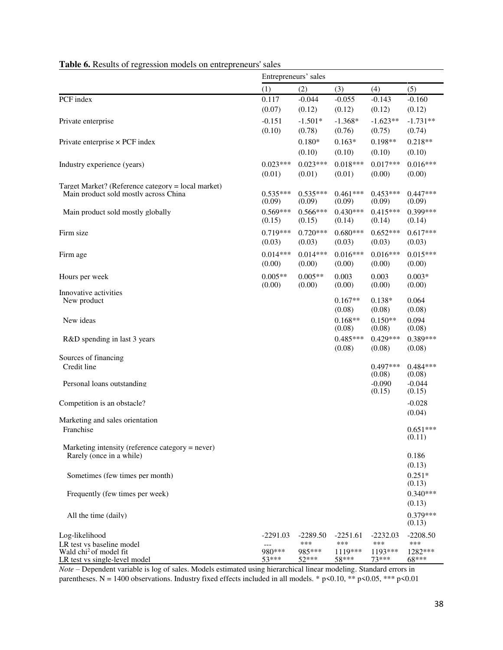|                                                                              | Entrepreneurs' sales |                     |                     |                      |                      |  |  |  |  |  |
|------------------------------------------------------------------------------|----------------------|---------------------|---------------------|----------------------|----------------------|--|--|--|--|--|
|                                                                              | (1)                  | (2)                 | (3)                 | (4)                  | (5)                  |  |  |  |  |  |
| PCF index                                                                    | 0.117                | $-0.044$            | $-0.055$            | $-0.143$             | $-0.160$             |  |  |  |  |  |
|                                                                              | (0.07)               | (0.12)              | (0.12)              | (0.12)               | (0.12)               |  |  |  |  |  |
| Private enterprise                                                           | $-0.151$<br>(0.10)   | $-1.501*$<br>(0.78) | $-1.368*$<br>(0.76) | $-1.623**$<br>(0.75) | $-1.731**$<br>(0.74) |  |  |  |  |  |
| Private enterprise $\times$ PCF index                                        |                      | $0.180*$            | $0.163*$            | $0.198**$            | $0.218**$            |  |  |  |  |  |
|                                                                              |                      | (0.10)              | (0.10)              | (0.10)               | (0.10)               |  |  |  |  |  |
| Industry experience (years)                                                  | $0.023***$           | $0.023***$          | $0.018***$          | $0.017***$           | $0.016***$           |  |  |  |  |  |
|                                                                              | (0.01)               | (0.01)              | (0.01)              | (0.00)               | (0.00)               |  |  |  |  |  |
| Target Market? (Reference category = local market)                           | $0.535***$           | $0.535***$          | $0.461***$          | $0.453***$           | $0.447***$           |  |  |  |  |  |
| Main product sold mostly across China                                        | (0.09)               | (0.09)              | (0.09)              | (0.09)               | (0.09)               |  |  |  |  |  |
| Main product sold mostly globally                                            | $0.569***$           | $0.566***$          | $0.430***$          | $0.415***$           | $0.399***$           |  |  |  |  |  |
|                                                                              | (0.15)               | (0.15)              | (0.14)              | (0.14)               | (0.14)               |  |  |  |  |  |
| Firm size                                                                    | $0.719***$           | $0.720***$          | $0.680***$          | $0.652***$           | $0.617***$           |  |  |  |  |  |
|                                                                              | (0.03)               | (0.03)              | (0.03)              | (0.03)               | (0.03)               |  |  |  |  |  |
| Firm age                                                                     | $0.014***$           | $0.014***$          | $0.016***$          | $0.016***$           | $0.015***$           |  |  |  |  |  |
|                                                                              | (0.00)               | (0.00)              | (0.00)              | (0.00)               | (0.00)               |  |  |  |  |  |
| Hours per week                                                               | $0.005**$<br>(0.00)  | $0.005**$<br>(0.00) | 0.003<br>(0.00)     | 0.003                | $0.003*$<br>(0.00)   |  |  |  |  |  |
| Innovative activities                                                        |                      |                     |                     | (0.00)               |                      |  |  |  |  |  |
| New product                                                                  |                      |                     | $0.167**$           | $0.138*$             | 0.064                |  |  |  |  |  |
|                                                                              |                      |                     | (0.08)              | (0.08)<br>$0.150**$  | (0.08)<br>0.094      |  |  |  |  |  |
| New ideas                                                                    |                      |                     | $0.168**$<br>(0.08) | (0.08)               | (0.08)               |  |  |  |  |  |
| R&D spending in last 3 years                                                 |                      |                     | $0.485***$          | $0.429***$           | $0.389***$           |  |  |  |  |  |
|                                                                              |                      |                     | (0.08)              | (0.08)               | (0.08)               |  |  |  |  |  |
| Sources of financing                                                         |                      |                     |                     |                      |                      |  |  |  |  |  |
| Credit line                                                                  |                      |                     |                     | $0.497***$<br>(0.08) | $0.484***$<br>(0.08) |  |  |  |  |  |
| Personal loans outstanding                                                   |                      |                     |                     | $-0.090$             | $-0.044$             |  |  |  |  |  |
|                                                                              |                      |                     |                     | (0.15)               | (0.15)               |  |  |  |  |  |
| Competition is an obstacle?                                                  |                      |                     |                     |                      | $-0.028$             |  |  |  |  |  |
| Marketing and sales orientation                                              |                      |                     |                     |                      | (0.04)               |  |  |  |  |  |
| Franchise                                                                    |                      |                     |                     |                      | $0.651***$           |  |  |  |  |  |
|                                                                              |                      |                     |                     |                      | (0.11)               |  |  |  |  |  |
| Marketing intensity (reference category = never)<br>Rarely (once in a while) |                      |                     |                     |                      | 0.186                |  |  |  |  |  |
|                                                                              |                      |                     |                     |                      | (0.13)               |  |  |  |  |  |
| Sometimes (few times per month)                                              |                      |                     |                     |                      | $0.251*$             |  |  |  |  |  |
|                                                                              |                      |                     |                     |                      | (0.13)               |  |  |  |  |  |
| Frequently (few times per week)                                              |                      |                     |                     |                      | $0.340***$           |  |  |  |  |  |
|                                                                              |                      |                     |                     |                      | (0.13)               |  |  |  |  |  |
| All the time (daily)                                                         |                      |                     |                     |                      | $0.379***$<br>(0.13) |  |  |  |  |  |
| Log-likelihood                                                               | $-2291.03$           | $-2289.50$          | $-2251.61$          | $-2232.03$           | $-2208.50$           |  |  |  |  |  |
| LR test vs baseline model                                                    |                      | ***                 | ***                 | ***                  | ***                  |  |  |  |  |  |
| Wald chi <sup>2</sup> of model fit<br>LR test vs single-level model          | 980***<br>$53***$    | 985***<br>$52***$   | 1119***<br>58***    | $1193***$<br>$73***$ | 1282***<br>68***     |  |  |  |  |  |

## **Table 6.** Results of regression models on entrepreneurs' sales

*Note* – Dependent variable is log of sales. Models estimated using hierarchical linear modeling. Standard errors in parentheses. N = 1400 observations. Industry fixed effects included in all models. \* p<0.10, \*\* p<0.05, \*\*\* p<0.01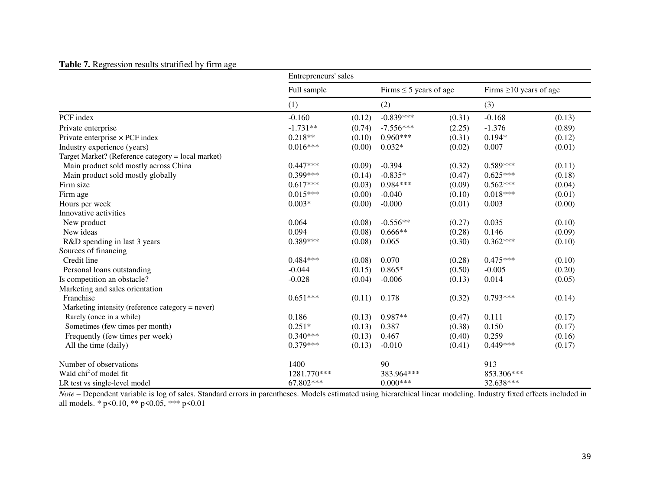## **Table 7.** Regression results stratified by firm age

|                                                    | Entrepreneurs' sales |        |                             |        |                              |        |  |  |  |  |  |
|----------------------------------------------------|----------------------|--------|-----------------------------|--------|------------------------------|--------|--|--|--|--|--|
|                                                    | Full sample          |        | Firms $\leq$ 5 years of age |        | Firms $\geq 10$ years of age |        |  |  |  |  |  |
|                                                    | (1)                  |        | (2)                         |        | (3)                          |        |  |  |  |  |  |
| PCF index                                          | $-0.160$             | (0.12) | $-0.839***$                 | (0.31) | $-0.168$                     | (0.13) |  |  |  |  |  |
| Private enterprise                                 | $-1.731**$           | (0.74) | $-7.556***$                 | (2.25) | $-1.376$                     | (0.89) |  |  |  |  |  |
| Private enterprise $\times$ PCF index              | $0.218**$            | (0.10) | $0.960***$                  | (0.31) | $0.194*$                     | (0.12) |  |  |  |  |  |
| Industry experience (years)                        | $0.016***$           | (0.00) | $0.032*$                    | (0.02) | 0.007                        | (0.01) |  |  |  |  |  |
| Target Market? (Reference category = local market) |                      |        |                             |        |                              |        |  |  |  |  |  |
| Main product sold mostly across China              | $0.447***$           | (0.09) | $-0.394$                    | (0.32) | $0.589***$                   | (0.11) |  |  |  |  |  |
| Main product sold mostly globally                  | $0.399***$           | (0.14) | $-0.835*$                   | (0.47) | $0.625***$                   | (0.18) |  |  |  |  |  |
| Firm size                                          | $0.617***$           | (0.03) | $0.984***$                  | (0.09) | $0.562***$                   | (0.04) |  |  |  |  |  |
| Firm age                                           | $0.015***$           | (0.00) | $-0.040$                    | (0.10) | $0.018***$                   | (0.01) |  |  |  |  |  |
| Hours per week                                     | $0.003*$             | (0.00) | $-0.000$                    | (0.01) | 0.003                        | (0.00) |  |  |  |  |  |
| Innovative activities                              |                      |        |                             |        |                              |        |  |  |  |  |  |
| New product                                        | 0.064                | (0.08) | $-0.556**$                  | (0.27) | 0.035                        | (0.10) |  |  |  |  |  |
| New ideas                                          | 0.094                | (0.08) | $0.666**$                   | (0.28) | 0.146                        | (0.09) |  |  |  |  |  |
| R&D spending in last 3 years                       | $0.389***$           | (0.08) | 0.065                       | (0.30) | $0.362***$                   | (0.10) |  |  |  |  |  |
| Sources of financing                               |                      |        |                             |        |                              |        |  |  |  |  |  |
| Credit line                                        | $0.484***$           | (0.08) | 0.070                       | (0.28) | $0.475***$                   | (0.10) |  |  |  |  |  |
| Personal loans outstanding                         | $-0.044$             | (0.15) | $0.865*$                    | (0.50) | $-0.005$                     | (0.20) |  |  |  |  |  |
| Is competition an obstacle?                        | $-0.028$             | (0.04) | $-0.006$                    | (0.13) | 0.014                        | (0.05) |  |  |  |  |  |
| Marketing and sales orientation                    |                      |        |                             |        |                              |        |  |  |  |  |  |
| Franchise                                          | $0.651***$           | (0.11) | 0.178                       | (0.32) | $0.793***$                   | (0.14) |  |  |  |  |  |
| Marketing intensity (reference category = never)   |                      |        |                             |        |                              |        |  |  |  |  |  |
| Rarely (once in a while)                           | 0.186                | (0.13) | $0.987**$                   | (0.47) | 0.111                        | (0.17) |  |  |  |  |  |
| Sometimes (few times per month)                    | $0.251*$             | (0.13) | 0.387                       | (0.38) | 0.150                        | (0.17) |  |  |  |  |  |
| Frequently (few times per week)                    | $0.340***$           | (0.13) | 0.467                       | (0.40) | 0.259                        | (0.16) |  |  |  |  |  |
| All the time (daily)                               | $0.379***$           | (0.13) | $-0.010$                    | (0.41) | $0.449***$                   | (0.17) |  |  |  |  |  |
| Number of observations                             | 1400                 |        | 90                          |        | 913                          |        |  |  |  |  |  |
| Wald chi <sup>2</sup> of model fit                 | 1281.770***          |        | 383.964***                  |        | 853.306***                   |        |  |  |  |  |  |
| LR test vs single-level model                      | 67.802***            |        | $0.000***$                  |        | 32.638***                    |        |  |  |  |  |  |

*Note* – Dependent variable is log of sales. Standard errors in parentheses. Models estimated using hierarchical linear modeling. Industry fixed effects included in all models. \* p<0.10, \*\* p<0.05, \*\*\* p<0.01